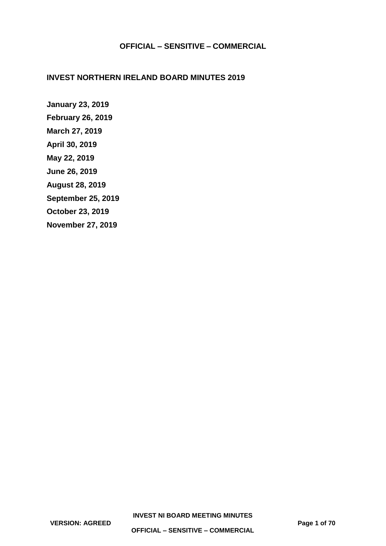#### **INVEST NORTHERN IRELAND BOARD MINUTES 2019**

**January 23, 2019 [February 26, 2019](#page-7-0) [March 27, 2019](#page-13-0) [April 30, 2019](#page-19-0) [May 22, 2019](#page-27-0) [June 26, 2019](#page-34-0) [August 28, 2019](#page-42-0) [September 25, 2019](#page-49-0) [October 23, 2019](#page-57-0) [November 27, 2019](#page-63-0)**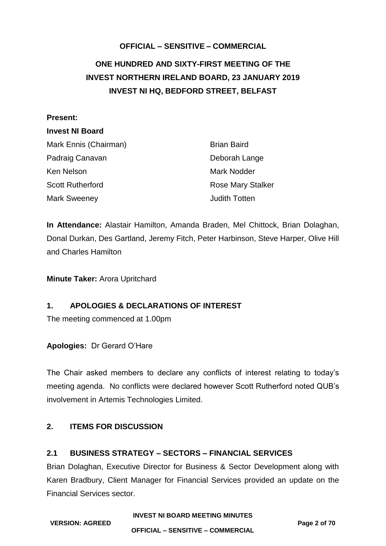# **OFFICIAL – SENSITIVE – COMMERCIAL ONE HUNDRED AND SIXTY-FIRST MEETING OF THE INVEST NORTHERN IRELAND BOARD, 23 JANUARY 2019 INVEST NI HQ, BEDFORD STREET, BELFAST**

#### **Present:**

#### **Invest NI Board**

| Mark Ennis (Chairman)   | <b>Brian Baird</b>       |
|-------------------------|--------------------------|
| Padraig Canavan         | Deborah Lange            |
| Ken Nelson              | Mark Nodder              |
| <b>Scott Rutherford</b> | <b>Rose Mary Stalker</b> |
| <b>Mark Sweeney</b>     | <b>Judith Totten</b>     |

**In Attendance:** Alastair Hamilton, Amanda Braden, Mel Chittock, Brian Dolaghan, Donal Durkan, Des Gartland, Jeremy Fitch, Peter Harbinson, Steve Harper, Olive Hill and Charles Hamilton

**Minute Taker:** Arora Upritchard

## **1. APOLOGIES & DECLARATIONS OF INTEREST**

The meeting commenced at 1.00pm

#### **Apologies:** Dr Gerard O'Hare

The Chair asked members to declare any conflicts of interest relating to today's meeting agenda. No conflicts were declared however Scott Rutherford noted QUB's involvement in Artemis Technologies Limited.

## **2. ITEMS FOR DISCUSSION**

## **2.1 BUSINESS STRATEGY – SECTORS – FINANCIAL SERVICES**

Brian Dolaghan, Executive Director for Business & Sector Development along with Karen Bradbury, Client Manager for Financial Services provided an update on the Financial Services sector.

|                        | <b>INVEST NI BOARD MEETING MINUTES</b>   |
|------------------------|------------------------------------------|
| <b>VERSION: AGREED</b> | <b>OFFICIAL - SENSITIVE - COMMERCIAL</b> |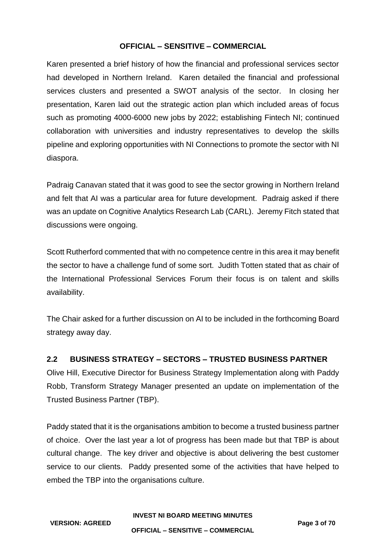Karen presented a brief history of how the financial and professional services sector had developed in Northern Ireland. Karen detailed the financial and professional services clusters and presented a SWOT analysis of the sector. In closing her presentation, Karen laid out the strategic action plan which included areas of focus such as promoting 4000-6000 new jobs by 2022; establishing Fintech NI; continued collaboration with universities and industry representatives to develop the skills pipeline and exploring opportunities with NI Connections to promote the sector with NI diaspora.

Padraig Canavan stated that it was good to see the sector growing in Northern Ireland and felt that AI was a particular area for future development. Padraig asked if there was an update on Cognitive Analytics Research Lab (CARL). Jeremy Fitch stated that discussions were ongoing.

Scott Rutherford commented that with no competence centre in this area it may benefit the sector to have a challenge fund of some sort. Judith Totten stated that as chair of the International Professional Services Forum their focus is on talent and skills availability.

The Chair asked for a further discussion on AI to be included in the forthcoming Board strategy away day.

## **2.2 BUSINESS STRATEGY – SECTORS – TRUSTED BUSINESS PARTNER**

Olive Hill, Executive Director for Business Strategy Implementation along with Paddy Robb, Transform Strategy Manager presented an update on implementation of the Trusted Business Partner (TBP).

Paddy stated that it is the organisations ambition to become a trusted business partner of choice. Over the last year a lot of progress has been made but that TBP is about cultural change. The key driver and objective is about delivering the best customer service to our clients. Paddy presented some of the activities that have helped to embed the TBP into the organisations culture.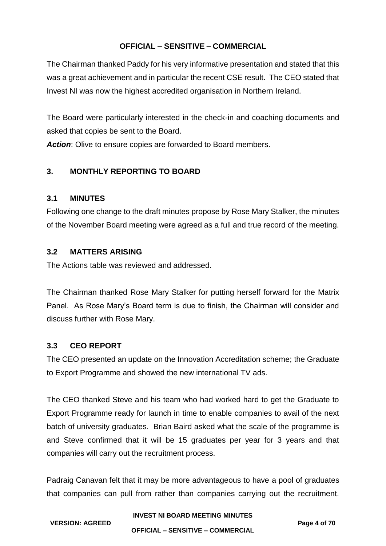The Chairman thanked Paddy for his very informative presentation and stated that this was a great achievement and in particular the recent CSE result. The CEO stated that Invest NI was now the highest accredited organisation in Northern Ireland.

The Board were particularly interested in the check-in and coaching documents and asked that copies be sent to the Board.

*Action*: Olive to ensure copies are forwarded to Board members.

## **3. MONTHLY REPORTING TO BOARD**

## **3.1 MINUTES**

Following one change to the draft minutes propose by Rose Mary Stalker, the minutes of the November Board meeting were agreed as a full and true record of the meeting.

## **3.2 MATTERS ARISING**

The Actions table was reviewed and addressed.

The Chairman thanked Rose Mary Stalker for putting herself forward for the Matrix Panel. As Rose Mary's Board term is due to finish, the Chairman will consider and discuss further with Rose Mary.

## **3.3 CEO REPORT**

The CEO presented an update on the Innovation Accreditation scheme; the Graduate to Export Programme and showed the new international TV ads.

The CEO thanked Steve and his team who had worked hard to get the Graduate to Export Programme ready for launch in time to enable companies to avail of the next batch of university graduates. Brian Baird asked what the scale of the programme is and Steve confirmed that it will be 15 graduates per year for 3 years and that companies will carry out the recruitment process.

Padraig Canavan felt that it may be more advantageous to have a pool of graduates that companies can pull from rather than companies carrying out the recruitment.

#### **INVEST NI BOARD MEETING MINUTES**

**VERSION: AGREED Page 4 of 70**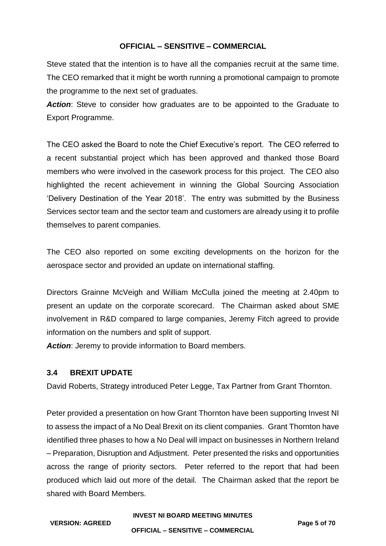Steve stated that the intention is to have all the companies recruit at the same time. The CEO remarked that it might be worth running a promotional campaign to promote the programme to the next set of graduates.

*Action*: Steve to consider how graduates are to be appointed to the Graduate to Export Programme.

The CEO asked the Board to note the Chief Executive's report. The CEO referred to a recent substantial project which has been approved and thanked those Board members who were involved in the casework process for this project. The CEO also highlighted the recent achievement in winning the Global Sourcing Association 'Delivery Destination of the Year 2018'. The entry was submitted by the Business Services sector team and the sector team and customers are already using it to profile themselves to parent companies.

The CEO also reported on some exciting developments on the horizon for the aerospace sector and provided an update on international staffing.

Directors Grainne McVeigh and William McCulla joined the meeting at 2.40pm to present an update on the corporate scorecard. The Chairman asked about SME involvement in R&D compared to large companies, Jeremy Fitch agreed to provide information on the numbers and split of support.

*Action*: Jeremy to provide information to Board members.

#### **3.4 BREXIT UPDATE**

David Roberts, Strategy introduced Peter Legge, Tax Partner from Grant Thornton.

Peter provided a presentation on how Grant Thornton have been supporting Invest NI to assess the impact of a No Deal Brexit on its client companies. Grant Thornton have identified three phases to how a No Deal will impact on businesses in Northern Ireland – Preparation, Disruption and Adjustment. Peter presented the risks and opportunities across the range of priority sectors. Peter referred to the report that had been produced which laid out more of the detail. The Chairman asked that the report be shared with Board Members.

#### **INVEST NI BOARD MEETING MINUTES**

**VERSION: AGREED Page 5 of 70**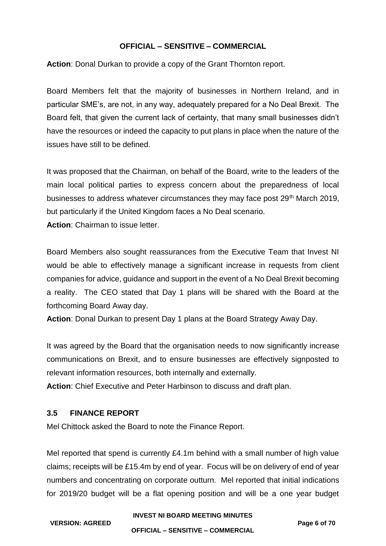**Action**: Donal Durkan to provide a copy of the Grant Thornton report.

Board Members felt that the majority of businesses in Northern Ireland, and in particular SME's, are not, in any way, adequately prepared for a No Deal Brexit. The Board felt, that given the current lack of certainty, that many small businesses didn't have the resources or indeed the capacity to put plans in place when the nature of the issues have still to be defined.

It was proposed that the Chairman, on behalf of the Board, write to the leaders of the main local political parties to express concern about the preparedness of local businesses to address whatever circumstances they may face post 29<sup>th</sup> March 2019, but particularly if the United Kingdom faces a No Deal scenario.

**Action**: Chairman to issue letter.

Board Members also sought reassurances from the Executive Team that Invest NI would be able to effectively manage a significant increase in requests from client companies for advice, guidance and support in the event of a No Deal Brexit becoming a reality. The CEO stated that Day 1 plans will be shared with the Board at the forthcoming Board Away day.

**Action**: Donal Durkan to present Day 1 plans at the Board Strategy Away Day.

It was agreed by the Board that the organisation needs to now significantly increase communications on Brexit, and to ensure businesses are effectively signposted to relevant information resources, both internally and externally.

**Action**: Chief Executive and Peter Harbinson to discuss and draft plan.

## **3.5 FINANCE REPORT**

Mel Chittock asked the Board to note the Finance Report.

Mel reported that spend is currently £4.1m behind with a small number of high value claims; receipts will be £15.4m by end of year. Focus will be on delivery of end of year numbers and concentrating on corporate outturn. Mel reported that initial indications for 2019/20 budget will be a flat opening position and will be a one year budget

#### **INVEST NI BOARD MEETING MINUTES**

**VERSION: AGREED Page 6 of 70**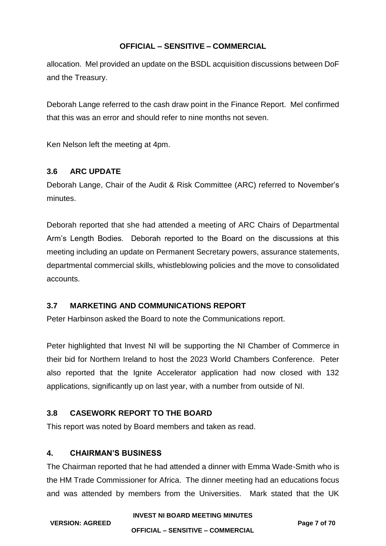allocation. Mel provided an update on the BSDL acquisition discussions between DoF and the Treasury.

Deborah Lange referred to the cash draw point in the Finance Report. Mel confirmed that this was an error and should refer to nine months not seven.

Ken Nelson left the meeting at 4pm.

## **3.6 ARC UPDATE**

Deborah Lange, Chair of the Audit & Risk Committee (ARC) referred to November's minutes.

Deborah reported that she had attended a meeting of ARC Chairs of Departmental Arm's Length Bodies. Deborah reported to the Board on the discussions at this meeting including an update on Permanent Secretary powers, assurance statements, departmental commercial skills, whistleblowing policies and the move to consolidated accounts.

## **3.7 MARKETING AND COMMUNICATIONS REPORT**

Peter Harbinson asked the Board to note the Communications report.

Peter highlighted that Invest NI will be supporting the NI Chamber of Commerce in their bid for Northern Ireland to host the 2023 World Chambers Conference. Peter also reported that the Ignite Accelerator application had now closed with 132 applications, significantly up on last year, with a number from outside of NI.

## **3.8 CASEWORK REPORT TO THE BOARD**

This report was noted by Board members and taken as read.

#### **4. CHAIRMAN'S BUSINESS**

The Chairman reported that he had attended a dinner with Emma Wade-Smith who is the HM Trade Commissioner for Africa. The dinner meeting had an educations focus and was attended by members from the Universities. Mark stated that the UK

#### **INVEST NI BOARD MEETING MINUTES**

**VERSION: AGREED Page 7 of 70**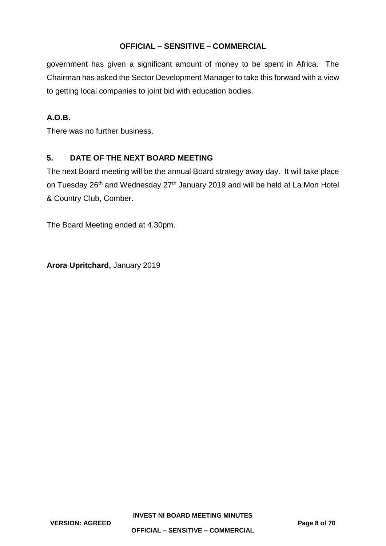<span id="page-7-0"></span>government has given a significant amount of money to be spent in Africa. The Chairman has asked the Sector Development Manager to take this forward with a view to getting local companies to joint bid with education bodies.

## **A.O.B.**

There was no further business.

## **5. DATE OF THE NEXT BOARD MEETING**

The next Board meeting will be the annual Board strategy away day. It will take place on Tuesday 26<sup>th</sup> and Wednesday 27<sup>th</sup> January 2019 and will be held at La Mon Hotel & Country Club, Comber.

The Board Meeting ended at 4.30pm.

**Arora Upritchard,** January 2019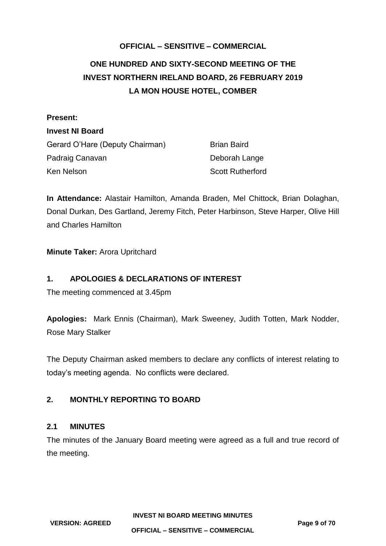# **OFFICIAL – SENSITIVE – COMMERCIAL ONE HUNDRED AND SIXTY-SECOND MEETING OF THE INVEST NORTHERN IRELAND BOARD, 26 FEBRUARY 2019 LA MON HOUSE HOTEL, COMBER**

## **Present:**

#### **Invest NI Board**

| Gerard O'Hare (Deputy Chairman) | <b>Brian Baird</b>      |
|---------------------------------|-------------------------|
| Padraig Canavan                 | Deborah Lange           |
| Ken Nelson                      | <b>Scott Rutherford</b> |

**In Attendance:** Alastair Hamilton, Amanda Braden, Mel Chittock, Brian Dolaghan, Donal Durkan, Des Gartland, Jeremy Fitch, Peter Harbinson, Steve Harper, Olive Hill and Charles Hamilton

**Minute Taker:** Arora Upritchard

## **1. APOLOGIES & DECLARATIONS OF INTEREST**

The meeting commenced at 3.45pm

**Apologies:** Mark Ennis (Chairman), Mark Sweeney, Judith Totten, Mark Nodder, Rose Mary Stalker

The Deputy Chairman asked members to declare any conflicts of interest relating to today's meeting agenda. No conflicts were declared.

## **2. MONTHLY REPORTING TO BOARD**

## **2.1 MINUTES**

The minutes of the January Board meeting were agreed as a full and true record of the meeting.

**INVEST NI BOARD MEETING MINUTES**

**VERSION: AGREED Page 9 of 70**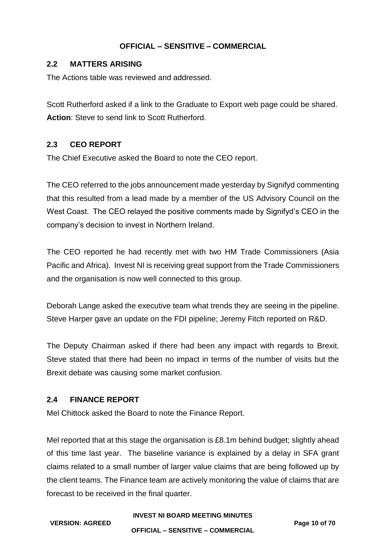#### **2.2 MATTERS ARISING**

The Actions table was reviewed and addressed.

Scott Rutherford asked if a link to the Graduate to Export web page could be shared. **Action**: Steve to send link to Scott Rutherford.

#### **2.3 CEO REPORT**

The Chief Executive asked the Board to note the CEO report.

The CEO referred to the jobs announcement made yesterday by Signifyd commenting that this resulted from a lead made by a member of the US Advisory Council on the West Coast. The CEO relayed the positive comments made by Signifyd's CEO in the company's decision to invest in Northern Ireland.

The CEO reported he had recently met with two HM Trade Commissioners (Asia Pacific and Africa). Invest NI is receiving great support from the Trade Commissioners and the organisation is now well connected to this group.

Deborah Lange asked the executive team what trends they are seeing in the pipeline. Steve Harper gave an update on the FDI pipeline; Jeremy Fitch reported on R&D.

The Deputy Chairman asked if there had been any impact with regards to Brexit. Steve stated that there had been no impact in terms of the number of visits but the Brexit debate was causing some market confusion.

#### **2.4 FINANCE REPORT**

Mel Chittock asked the Board to note the Finance Report.

Mel reported that at this stage the organisation is £8.1m behind budget; slightly ahead of this time last year. The baseline variance is explained by a delay in SFA grant claims related to a small number of larger value claims that are being followed up by the client teams. The Finance team are actively monitoring the value of claims that are forecast to be received in the final quarter.

#### **INVEST NI BOARD MEETING MINUTES**

**VERSION: AGREED Page 10 of 70**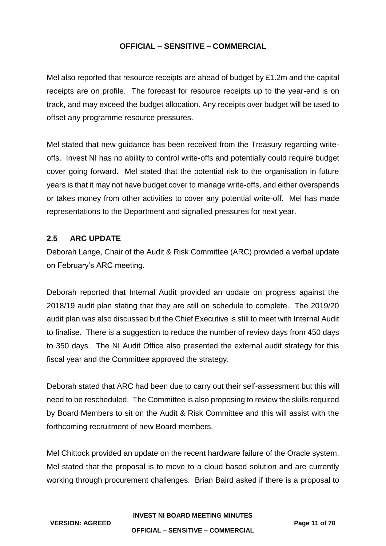Mel also reported that resource receipts are ahead of budget by £1.2m and the capital receipts are on profile. The forecast for resource receipts up to the year-end is on track, and may exceed the budget allocation. Any receipts over budget will be used to offset any programme resource pressures.

Mel stated that new guidance has been received from the Treasury regarding writeoffs. Invest NI has no ability to control write-offs and potentially could require budget cover going forward. Mel stated that the potential risk to the organisation in future years is that it may not have budget cover to manage write-offs, and either overspends or takes money from other activities to cover any potential write-off. Mel has made representations to the Department and signalled pressures for next year.

## **2.5 ARC UPDATE**

Deborah Lange, Chair of the Audit & Risk Committee (ARC) provided a verbal update on February's ARC meeting.

Deborah reported that Internal Audit provided an update on progress against the 2018/19 audit plan stating that they are still on schedule to complete. The 2019/20 audit plan was also discussed but the Chief Executive is still to meet with Internal Audit to finalise. There is a suggestion to reduce the number of review days from 450 days to 350 days. The NI Audit Office also presented the external audit strategy for this fiscal year and the Committee approved the strategy.

Deborah stated that ARC had been due to carry out their self-assessment but this will need to be rescheduled. The Committee is also proposing to review the skills required by Board Members to sit on the Audit & Risk Committee and this will assist with the forthcoming recruitment of new Board members.

Mel Chittock provided an update on the recent hardware failure of the Oracle system. Mel stated that the proposal is to move to a cloud based solution and are currently working through procurement challenges. Brian Baird asked if there is a proposal to

**INVEST NI BOARD MEETING MINUTES**

**VERSION: AGREED Page 11 of 70**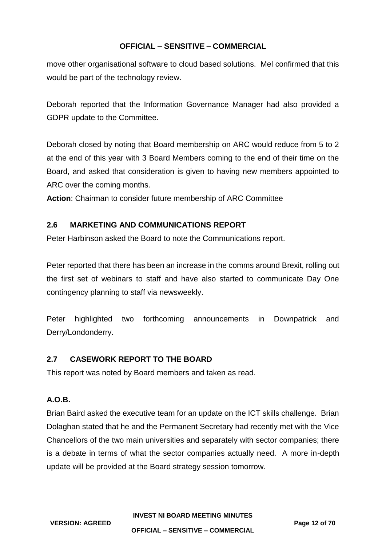move other organisational software to cloud based solutions. Mel confirmed that this would be part of the technology review.

Deborah reported that the Information Governance Manager had also provided a GDPR update to the Committee.

Deborah closed by noting that Board membership on ARC would reduce from 5 to 2 at the end of this year with 3 Board Members coming to the end of their time on the Board, and asked that consideration is given to having new members appointed to ARC over the coming months.

**Action**: Chairman to consider future membership of ARC Committee

## **2.6 MARKETING AND COMMUNICATIONS REPORT**

Peter Harbinson asked the Board to note the Communications report.

Peter reported that there has been an increase in the comms around Brexit, rolling out the first set of webinars to staff and have also started to communicate Day One contingency planning to staff via newsweekly.

Peter highlighted two forthcoming announcements in Downpatrick and Derry/Londonderry.

## **2.7 CASEWORK REPORT TO THE BOARD**

This report was noted by Board members and taken as read.

## **A.O.B.**

Brian Baird asked the executive team for an update on the ICT skills challenge. Brian Dolaghan stated that he and the Permanent Secretary had recently met with the Vice Chancellors of the two main universities and separately with sector companies; there is a debate in terms of what the sector companies actually need. A more in-depth update will be provided at the Board strategy session tomorrow.

**INVEST NI BOARD MEETING MINUTES**

**VERSION: AGREED Page 12 of 70**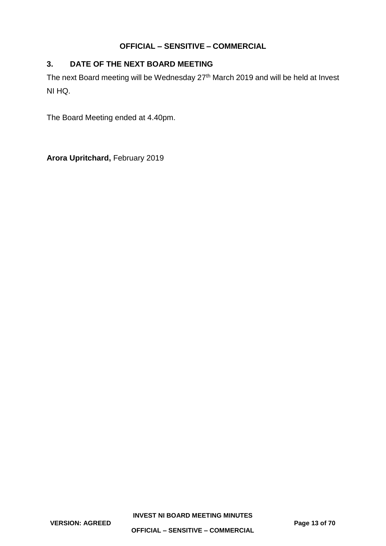## **3. DATE OF THE NEXT BOARD MEETING**

The next Board meeting will be Wednesday 27<sup>th</sup> March 2019 and will be held at Invest NI HQ.

The Board Meeting ended at 4.40pm.

**Arora Upritchard,** February 2019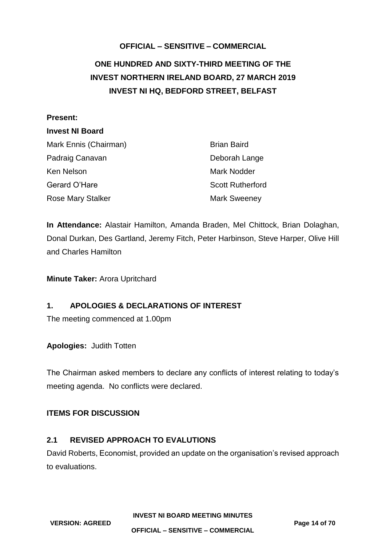# <span id="page-13-0"></span>**OFFICIAL – SENSITIVE – COMMERCIAL ONE HUNDRED AND SIXTY-THIRD MEETING OF THE INVEST NORTHERN IRELAND BOARD, 27 MARCH 2019 INVEST NI HQ, BEDFORD STREET, BELFAST**

#### **Present:**

#### **Invest NI Board**

| Mark Ennis (Chairman)    | <b>Brian Baird</b>      |
|--------------------------|-------------------------|
| Padraig Canavan          | Deborah Lange           |
| Ken Nelson               | Mark Nodder             |
| Gerard O'Hare            | <b>Scott Rutherford</b> |
| <b>Rose Mary Stalker</b> | <b>Mark Sweeney</b>     |

**In Attendance:** Alastair Hamilton, Amanda Braden, Mel Chittock, Brian Dolaghan, Donal Durkan, Des Gartland, Jeremy Fitch, Peter Harbinson, Steve Harper, Olive Hill and Charles Hamilton

**Minute Taker:** Arora Upritchard

## **1. APOLOGIES & DECLARATIONS OF INTEREST**

The meeting commenced at 1.00pm

**Apologies:** Judith Totten

The Chairman asked members to declare any conflicts of interest relating to today's meeting agenda. No conflicts were declared.

## **ITEMS FOR DISCUSSION**

## **2.1 REVISED APPROACH TO EVALUTIONS**

David Roberts, Economist, provided an update on the organisation's revised approach to evaluations.

**VERSION: AGREED Page 14 of 70**

**INVEST NI BOARD MEETING MINUTES**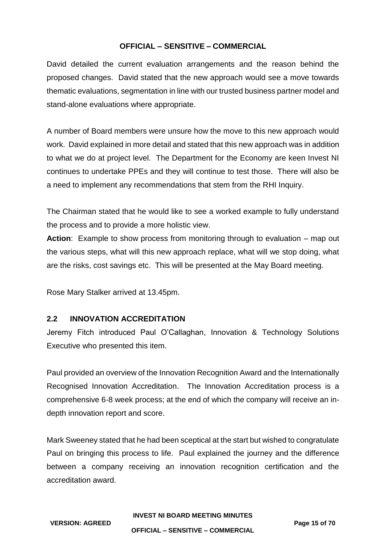David detailed the current evaluation arrangements and the reason behind the proposed changes. David stated that the new approach would see a move towards thematic evaluations, segmentation in line with our trusted business partner model and stand-alone evaluations where appropriate.

A number of Board members were unsure how the move to this new approach would work. David explained in more detail and stated that this new approach was in addition to what we do at project level. The Department for the Economy are keen Invest NI continues to undertake PPEs and they will continue to test those. There will also be a need to implement any recommendations that stem from the RHI Inquiry.

The Chairman stated that he would like to see a worked example to fully understand the process and to provide a more holistic view.

**Action**: Example to show process from monitoring through to evaluation – map out the various steps, what will this new approach replace, what will we stop doing, what are the risks, cost savings etc. This will be presented at the May Board meeting.

Rose Mary Stalker arrived at 13.45pm.

## **2.2 INNOVATION ACCREDITATION**

Jeremy Fitch introduced Paul O'Callaghan, Innovation & Technology Solutions Executive who presented this item.

Paul provided an overview of the Innovation Recognition Award and the Internationally Recognised Innovation Accreditation. The Innovation Accreditation process is a comprehensive 6-8 week process; at the end of which the company will receive an indepth innovation report and score.

Mark Sweeney stated that he had been sceptical at the start but wished to congratulate Paul on bringing this process to life. Paul explained the journey and the difference between a company receiving an innovation recognition certification and the accreditation award.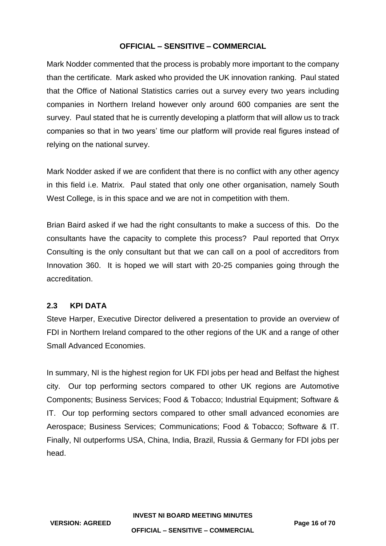Mark Nodder commented that the process is probably more important to the company than the certificate. Mark asked who provided the UK innovation ranking. Paul stated that the Office of National Statistics carries out a survey every two years including companies in Northern Ireland however only around 600 companies are sent the survey. Paul stated that he is currently developing a platform that will allow us to track companies so that in two years' time our platform will provide real figures instead of relying on the national survey.

Mark Nodder asked if we are confident that there is no conflict with any other agency in this field i.e. Matrix. Paul stated that only one other organisation, namely South West College, is in this space and we are not in competition with them.

Brian Baird asked if we had the right consultants to make a success of this. Do the consultants have the capacity to complete this process? Paul reported that Orryx Consulting is the only consultant but that we can call on a pool of accreditors from Innovation 360. It is hoped we will start with 20-25 companies going through the accreditation.

#### **2.3 KPI DATA**

Steve Harper, Executive Director delivered a presentation to provide an overview of FDI in Northern Ireland compared to the other regions of the UK and a range of other Small Advanced Economies.

In summary, NI is the highest region for UK FDI jobs per head and Belfast the highest city. Our top performing sectors compared to other UK regions are Automotive Components; Business Services; Food & Tobacco; Industrial Equipment; Software & IT. Our top performing sectors compared to other small advanced economies are Aerospace; Business Services; Communications; Food & Tobacco; Software & IT. Finally, NI outperforms USA, China, India, Brazil, Russia & Germany for FDI jobs per head.

**INVEST NI BOARD MEETING MINUTES VERSION: AGREED Page 16 of 70 OFFICIAL – SENSITIVE – COMMERCIAL**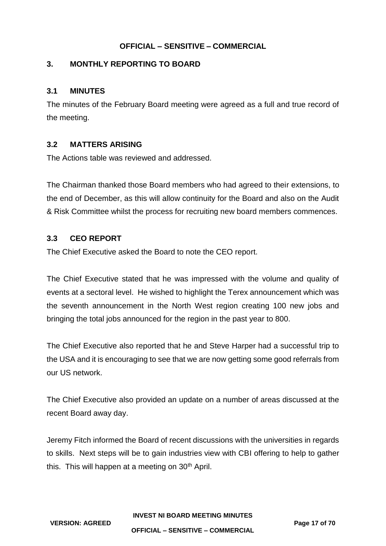#### **3. MONTHLY REPORTING TO BOARD**

#### **3.1 MINUTES**

The minutes of the February Board meeting were agreed as a full and true record of the meeting.

#### **3.2 MATTERS ARISING**

The Actions table was reviewed and addressed.

The Chairman thanked those Board members who had agreed to their extensions, to the end of December, as this will allow continuity for the Board and also on the Audit & Risk Committee whilst the process for recruiting new board members commences.

#### **3.3 CEO REPORT**

The Chief Executive asked the Board to note the CEO report.

The Chief Executive stated that he was impressed with the volume and quality of events at a sectoral level. He wished to highlight the Terex announcement which was the seventh announcement in the North West region creating 100 new jobs and bringing the total jobs announced for the region in the past year to 800.

The Chief Executive also reported that he and Steve Harper had a successful trip to the USA and it is encouraging to see that we are now getting some good referrals from our US network.

The Chief Executive also provided an update on a number of areas discussed at the recent Board away day.

Jeremy Fitch informed the Board of recent discussions with the universities in regards to skills. Next steps will be to gain industries view with CBI offering to help to gather this. This will happen at a meeting on  $30<sup>th</sup>$  April.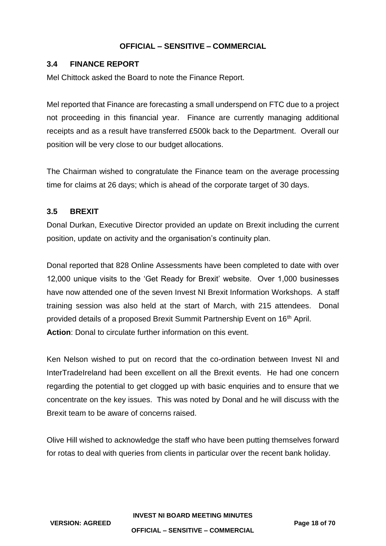#### **3.4 FINANCE REPORT**

Mel Chittock asked the Board to note the Finance Report.

Mel reported that Finance are forecasting a small underspend on FTC due to a project not proceeding in this financial year. Finance are currently managing additional receipts and as a result have transferred £500k back to the Department. Overall our position will be very close to our budget allocations.

The Chairman wished to congratulate the Finance team on the average processing time for claims at 26 days; which is ahead of the corporate target of 30 days.

#### **3.5 BREXIT**

Donal Durkan, Executive Director provided an update on Brexit including the current position, update on activity and the organisation's continuity plan.

Donal reported that 828 Online Assessments have been completed to date with over 12,000 unique visits to the 'Get Ready for Brexit' website. Over 1,000 businesses have now attended one of the seven Invest NI Brexit Information Workshops. A staff training session was also held at the start of March, with 215 attendees. Donal provided details of a proposed Brexit Summit Partnership Event on 16<sup>th</sup> April. **Action**: Donal to circulate further information on this event.

Ken Nelson wished to put on record that the co-ordination between Invest NI and InterTradeIreland had been excellent on all the Brexit events. He had one concern regarding the potential to get clogged up with basic enquiries and to ensure that we concentrate on the key issues. This was noted by Donal and he will discuss with the Brexit team to be aware of concerns raised.

Olive Hill wished to acknowledge the staff who have been putting themselves forward for rotas to deal with queries from clients in particular over the recent bank holiday.

**INVEST NI BOARD MEETING MINUTES**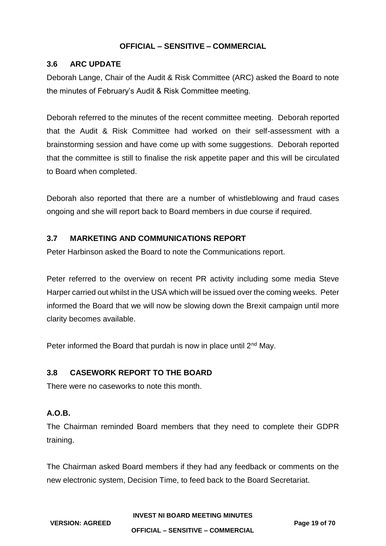## **3.6 ARC UPDATE**

Deborah Lange, Chair of the Audit & Risk Committee (ARC) asked the Board to note the minutes of February's Audit & Risk Committee meeting.

Deborah referred to the minutes of the recent committee meeting. Deborah reported that the Audit & Risk Committee had worked on their self-assessment with a brainstorming session and have come up with some suggestions. Deborah reported that the committee is still to finalise the risk appetite paper and this will be circulated to Board when completed.

Deborah also reported that there are a number of whistleblowing and fraud cases ongoing and she will report back to Board members in due course if required.

## **3.7 MARKETING AND COMMUNICATIONS REPORT**

Peter Harbinson asked the Board to note the Communications report.

Peter referred to the overview on recent PR activity including some media Steve Harper carried out whilst in the USA which will be issued over the coming weeks. Peter informed the Board that we will now be slowing down the Brexit campaign until more clarity becomes available.

Peter informed the Board that purdah is now in place until 2<sup>nd</sup> May.

## **3.8 CASEWORK REPORT TO THE BOARD**

There were no caseworks to note this month.

## **A.O.B.**

The Chairman reminded Board members that they need to complete their GDPR training.

The Chairman asked Board members if they had any feedback or comments on the new electronic system, Decision Time, to feed back to the Board Secretariat.

**INVEST NI BOARD MEETING MINUTES**

**VERSION: AGREED Page 19 of 70**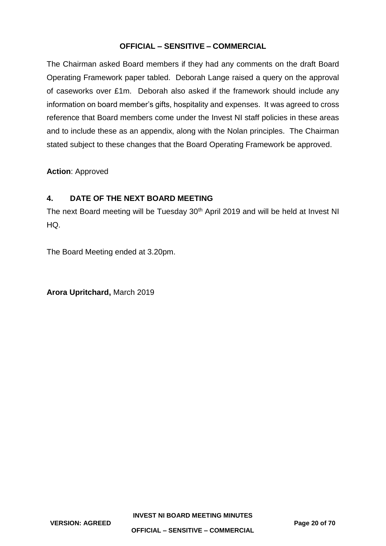<span id="page-19-0"></span>The Chairman asked Board members if they had any comments on the draft Board Operating Framework paper tabled. Deborah Lange raised a query on the approval of caseworks over £1m. Deborah also asked if the framework should include any information on board member's gifts, hospitality and expenses. It was agreed to cross reference that Board members come under the Invest NI staff policies in these areas and to include these as an appendix, along with the Nolan principles. The Chairman stated subject to these changes that the Board Operating Framework be approved.

## **Action**: Approved

## **4. DATE OF THE NEXT BOARD MEETING**

The next Board meeting will be Tuesday 30<sup>th</sup> April 2019 and will be held at Invest NI HQ.

The Board Meeting ended at 3.20pm.

**Arora Upritchard,** March 2019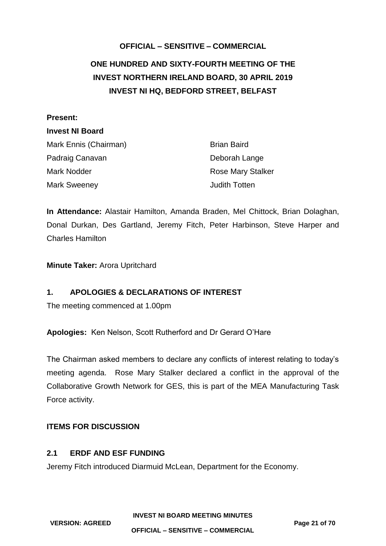# **OFFICIAL – SENSITIVE – COMMERCIAL ONE HUNDRED AND SIXTY-FOURTH MEETING OF THE INVEST NORTHERN IRELAND BOARD, 30 APRIL 2019 INVEST NI HQ, BEDFORD STREET, BELFAST**

#### **Present:**

#### **Invest NI Board**

| Mark Ennis (Chairman) | <b>Brian Baird</b>       |
|-----------------------|--------------------------|
| Padraig Canavan       | Deborah Lange            |
| Mark Nodder           | <b>Rose Mary Stalker</b> |
| Mark Sweeney          | Judith Totten            |

**In Attendance:** Alastair Hamilton, Amanda Braden, Mel Chittock, Brian Dolaghan, Donal Durkan, Des Gartland, Jeremy Fitch, Peter Harbinson, Steve Harper and Charles Hamilton

**Minute Taker:** Arora Upritchard

## **1. APOLOGIES & DECLARATIONS OF INTEREST**

The meeting commenced at 1.00pm

**Apologies:** Ken Nelson, Scott Rutherford and Dr Gerard O'Hare

The Chairman asked members to declare any conflicts of interest relating to today's meeting agenda. Rose Mary Stalker declared a conflict in the approval of the Collaborative Growth Network for GES, this is part of the MEA Manufacturing Task Force activity.

## **ITEMS FOR DISCUSSION**

## **2.1 ERDF AND ESF FUNDING**

Jeremy Fitch introduced Diarmuid McLean, Department for the Economy.

**INVEST NI BOARD MEETING MINUTES**

**VERSION: AGREED Page 21 of 70**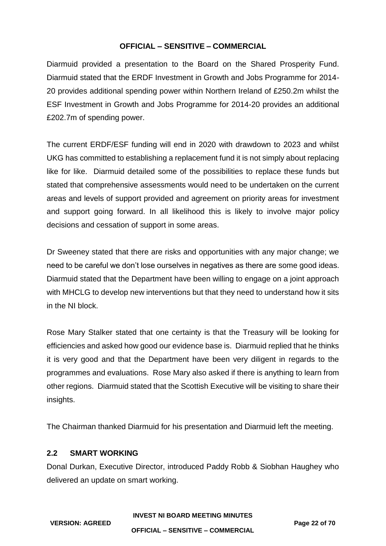Diarmuid provided a presentation to the Board on the Shared Prosperity Fund. Diarmuid stated that the ERDF Investment in Growth and Jobs Programme for 2014- 20 provides additional spending power within Northern Ireland of £250.2m whilst the ESF Investment in Growth and Jobs Programme for 2014-20 provides an additional £202.7m of spending power.

The current ERDF/ESF funding will end in 2020 with drawdown to 2023 and whilst UKG has committed to establishing a replacement fund it is not simply about replacing like for like. Diarmuid detailed some of the possibilities to replace these funds but stated that comprehensive assessments would need to be undertaken on the current areas and levels of support provided and agreement on priority areas for investment and support going forward. In all likelihood this is likely to involve major policy decisions and cessation of support in some areas.

Dr Sweeney stated that there are risks and opportunities with any major change; we need to be careful we don't lose ourselves in negatives as there are some good ideas. Diarmuid stated that the Department have been willing to engage on a joint approach with MHCLG to develop new interventions but that they need to understand how it sits in the NI block.

Rose Mary Stalker stated that one certainty is that the Treasury will be looking for efficiencies and asked how good our evidence base is. Diarmuid replied that he thinks it is very good and that the Department have been very diligent in regards to the programmes and evaluations. Rose Mary also asked if there is anything to learn from other regions. Diarmuid stated that the Scottish Executive will be visiting to share their insights.

The Chairman thanked Diarmuid for his presentation and Diarmuid left the meeting.

## **2.2 SMART WORKING**

Donal Durkan, Executive Director, introduced Paddy Robb & Siobhan Haughey who delivered an update on smart working.

**INVEST NI BOARD MEETING MINUTES**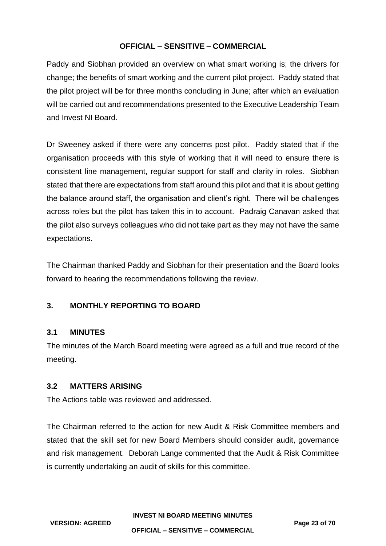Paddy and Siobhan provided an overview on what smart working is; the drivers for change; the benefits of smart working and the current pilot project. Paddy stated that the pilot project will be for three months concluding in June; after which an evaluation will be carried out and recommendations presented to the Executive Leadership Team and Invest NI Board.

Dr Sweeney asked if there were any concerns post pilot. Paddy stated that if the organisation proceeds with this style of working that it will need to ensure there is consistent line management, regular support for staff and clarity in roles. Siobhan stated that there are expectations from staff around this pilot and that it is about getting the balance around staff, the organisation and client's right. There will be challenges across roles but the pilot has taken this in to account. Padraig Canavan asked that the pilot also surveys colleagues who did not take part as they may not have the same expectations.

The Chairman thanked Paddy and Siobhan for their presentation and the Board looks forward to hearing the recommendations following the review.

## **3. MONTHLY REPORTING TO BOARD**

#### **3.1 MINUTES**

The minutes of the March Board meeting were agreed as a full and true record of the meeting.

#### **3.2 MATTERS ARISING**

The Actions table was reviewed and addressed.

The Chairman referred to the action for new Audit & Risk Committee members and stated that the skill set for new Board Members should consider audit, governance and risk management. Deborah Lange commented that the Audit & Risk Committee is currently undertaking an audit of skills for this committee.

**INVEST NI BOARD MEETING MINUTES**

**VERSION: AGREED Page 23 of 70**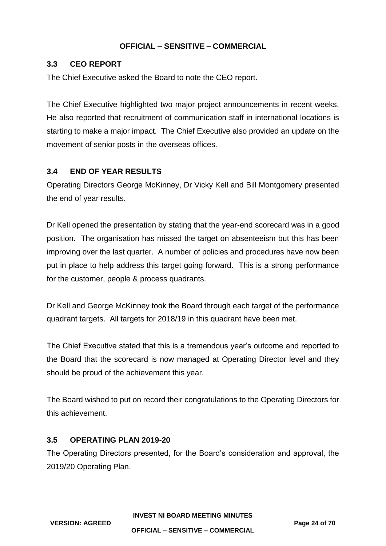#### **3.3 CEO REPORT**

The Chief Executive asked the Board to note the CEO report.

The Chief Executive highlighted two major project announcements in recent weeks. He also reported that recruitment of communication staff in international locations is starting to make a major impact. The Chief Executive also provided an update on the movement of senior posts in the overseas offices.

#### **3.4 END OF YEAR RESULTS**

Operating Directors George McKinney, Dr Vicky Kell and Bill Montgomery presented the end of year results.

Dr Kell opened the presentation by stating that the year-end scorecard was in a good position. The organisation has missed the target on absenteeism but this has been improving over the last quarter. A number of policies and procedures have now been put in place to help address this target going forward. This is a strong performance for the customer, people & process quadrants.

Dr Kell and George McKinney took the Board through each target of the performance quadrant targets. All targets for 2018/19 in this quadrant have been met.

The Chief Executive stated that this is a tremendous year's outcome and reported to the Board that the scorecard is now managed at Operating Director level and they should be proud of the achievement this year.

The Board wished to put on record their congratulations to the Operating Directors for this achievement.

#### **3.5 OPERATING PLAN 2019-20**

The Operating Directors presented, for the Board's consideration and approval, the 2019/20 Operating Plan.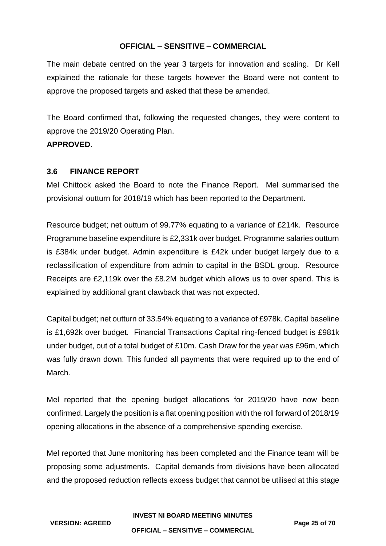The main debate centred on the year 3 targets for innovation and scaling. Dr Kell explained the rationale for these targets however the Board were not content to approve the proposed targets and asked that these be amended.

The Board confirmed that, following the requested changes, they were content to approve the 2019/20 Operating Plan.

## **APPROVED**.

## **3.6 FINANCE REPORT**

Mel Chittock asked the Board to note the Finance Report. Mel summarised the provisional outturn for 2018/19 which has been reported to the Department.

Resource budget; net outturn of 99.77% equating to a variance of £214k. Resource Programme baseline expenditure is £2,331k over budget. Programme salaries outturn is £384k under budget. Admin expenditure is £42k under budget largely due to a reclassification of expenditure from admin to capital in the BSDL group. Resource Receipts are £2,119k over the £8.2M budget which allows us to over spend. This is explained by additional grant clawback that was not expected.

Capital budget; net outturn of 33.54% equating to a variance of £978k. Capital baseline is £1,692k over budget. Financial Transactions Capital ring-fenced budget is £981k under budget, out of a total budget of £10m. Cash Draw for the year was £96m, which was fully drawn down. This funded all payments that were required up to the end of March.

Mel reported that the opening budget allocations for 2019/20 have now been confirmed. Largely the position is a flat opening position with the roll forward of 2018/19 opening allocations in the absence of a comprehensive spending exercise.

Mel reported that June monitoring has been completed and the Finance team will be proposing some adjustments. Capital demands from divisions have been allocated and the proposed reduction reflects excess budget that cannot be utilised at this stage

**INVEST NI BOARD MEETING MINUTES**

**VERSION: AGREED Page 25 of 70**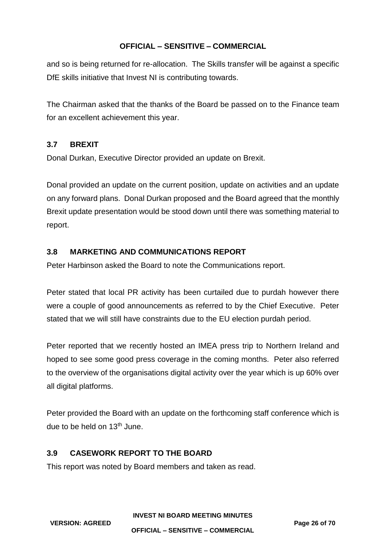and so is being returned for re-allocation. The Skills transfer will be against a specific DfE skills initiative that Invest NI is contributing towards.

The Chairman asked that the thanks of the Board be passed on to the Finance team for an excellent achievement this year.

## **3.7 BREXIT**

Donal Durkan, Executive Director provided an update on Brexit.

Donal provided an update on the current position, update on activities and an update on any forward plans. Donal Durkan proposed and the Board agreed that the monthly Brexit update presentation would be stood down until there was something material to report.

## **3.8 MARKETING AND COMMUNICATIONS REPORT**

Peter Harbinson asked the Board to note the Communications report.

Peter stated that local PR activity has been curtailed due to purdah however there were a couple of good announcements as referred to by the Chief Executive. Peter stated that we will still have constraints due to the EU election purdah period.

Peter reported that we recently hosted an IMEA press trip to Northern Ireland and hoped to see some good press coverage in the coming months. Peter also referred to the overview of the organisations digital activity over the year which is up 60% over all digital platforms.

Peter provided the Board with an update on the forthcoming staff conference which is due to be held on 13<sup>th</sup> June.

## **3.9 CASEWORK REPORT TO THE BOARD**

This report was noted by Board members and taken as read.

**INVEST NI BOARD MEETING MINUTES**

**VERSION: AGREED Page 26 of 70**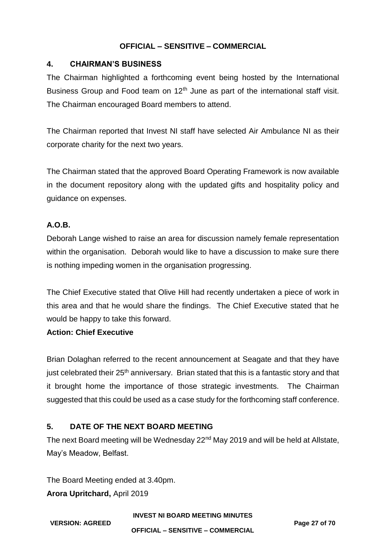#### **4. CHAIRMAN'S BUSINESS**

The Chairman highlighted a forthcoming event being hosted by the International Business Group and Food team on  $12<sup>th</sup>$  June as part of the international staff visit. The Chairman encouraged Board members to attend.

The Chairman reported that Invest NI staff have selected Air Ambulance NI as their corporate charity for the next two years.

The Chairman stated that the approved Board Operating Framework is now available in the document repository along with the updated gifts and hospitality policy and guidance on expenses.

## **A.O.B.**

Deborah Lange wished to raise an area for discussion namely female representation within the organisation. Deborah would like to have a discussion to make sure there is nothing impeding women in the organisation progressing.

The Chief Executive stated that Olive Hill had recently undertaken a piece of work in this area and that he would share the findings. The Chief Executive stated that he would be happy to take this forward.

#### **Action: Chief Executive**

Brian Dolaghan referred to the recent announcement at Seagate and that they have just celebrated their 25<sup>th</sup> anniversary. Brian stated that this is a fantastic story and that it brought home the importance of those strategic investments. The Chairman suggested that this could be used as a case study for the forthcoming staff conference.

## **5. DATE OF THE NEXT BOARD MEETING**

The next Board meeting will be Wednesday 22<sup>nd</sup> May 2019 and will be held at Allstate. May's Meadow, Belfast.

The Board Meeting ended at 3.40pm.

**Arora Upritchard,** April 2019

|                        | <b>INVEST NI BOARD MEETING MINUTES</b>   |               |
|------------------------|------------------------------------------|---------------|
| <b>VERSION: AGREED</b> |                                          | Page 27 of 70 |
|                        | <b>OFFICIAL – SENSITIVE – COMMERCIAL</b> |               |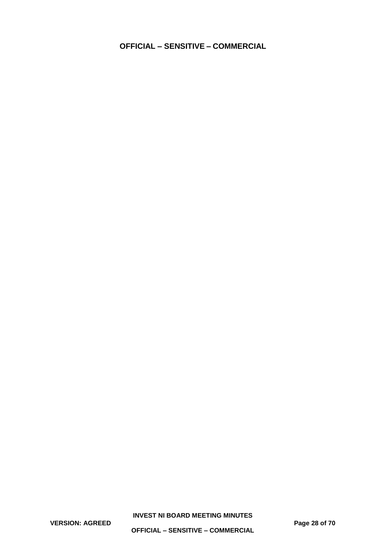<span id="page-27-0"></span>**VERSION: AGREED Page 28 of 70**

**INVEST NI BOARD MEETING MINUTES**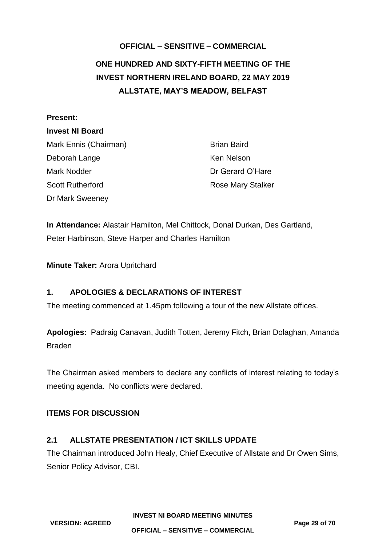# **OFFICIAL – SENSITIVE – COMMERCIAL ONE HUNDRED AND SIXTY-FIFTH MEETING OF THE INVEST NORTHERN IRELAND BOARD, 22 MAY 2019 ALLSTATE, MAY'S MEADOW, BELFAST**

#### **Present:**

#### **Invest NI Board**

Mark Ennis (Chairman) Brian Baird Deborah Lange Ken Nelson Mark Nodder **Dr Gerard O'Hare** Scott Rutherford **Rose Mary Stalker** Rose Mary Stalker Dr Mark Sweeney

**In Attendance:** Alastair Hamilton, Mel Chittock, Donal Durkan, Des Gartland, Peter Harbinson, Steve Harper and Charles Hamilton

**Minute Taker:** Arora Upritchard

## **1. APOLOGIES & DECLARATIONS OF INTEREST**

The meeting commenced at 1.45pm following a tour of the new Allstate offices.

**Apologies:** Padraig Canavan, Judith Totten, Jeremy Fitch, Brian Dolaghan, Amanda Braden

The Chairman asked members to declare any conflicts of interest relating to today's meeting agenda. No conflicts were declared.

## **ITEMS FOR DISCUSSION**

## **2.1 ALLSTATE PRESENTATION / ICT SKILLS UPDATE**

The Chairman introduced John Healy, Chief Executive of Allstate and Dr Owen Sims, Senior Policy Advisor, CBI.

**INVEST NI BOARD MEETING MINUTES VERSION: AGREED Page 29 of 70 OFFICIAL – SENSITIVE – COMMERCIAL**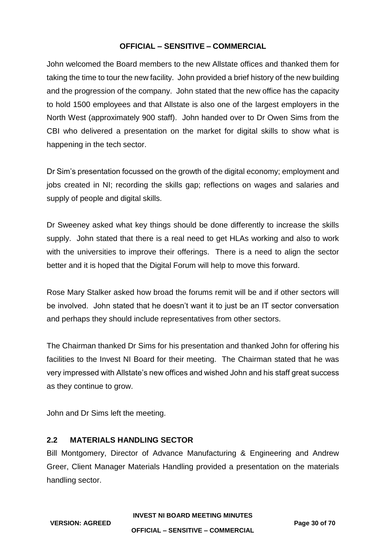John welcomed the Board members to the new Allstate offices and thanked them for taking the time to tour the new facility. John provided a brief history of the new building and the progression of the company. John stated that the new office has the capacity to hold 1500 employees and that Allstate is also one of the largest employers in the North West (approximately 900 staff). John handed over to Dr Owen Sims from the CBI who delivered a presentation on the market for digital skills to show what is happening in the tech sector.

Dr Sim's presentation focussed on the growth of the digital economy; employment and jobs created in NI; recording the skills gap; reflections on wages and salaries and supply of people and digital skills.

Dr Sweeney asked what key things should be done differently to increase the skills supply. John stated that there is a real need to get HLAs working and also to work with the universities to improve their offerings. There is a need to align the sector better and it is hoped that the Digital Forum will help to move this forward.

Rose Mary Stalker asked how broad the forums remit will be and if other sectors will be involved. John stated that he doesn't want it to just be an IT sector conversation and perhaps they should include representatives from other sectors.

The Chairman thanked Dr Sims for his presentation and thanked John for offering his facilities to the Invest NI Board for their meeting. The Chairman stated that he was very impressed with Allstate's new offices and wished John and his staff great success as they continue to grow.

John and Dr Sims left the meeting.

## **2.2 MATERIALS HANDLING SECTOR**

Bill Montgomery, Director of Advance Manufacturing & Engineering and Andrew Greer, Client Manager Materials Handling provided a presentation on the materials handling sector.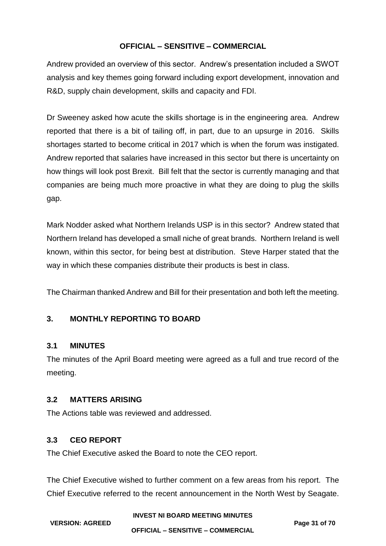Andrew provided an overview of this sector. Andrew's presentation included a SWOT analysis and key themes going forward including export development, innovation and R&D, supply chain development, skills and capacity and FDI.

Dr Sweeney asked how acute the skills shortage is in the engineering area. Andrew reported that there is a bit of tailing off, in part, due to an upsurge in 2016. Skills shortages started to become critical in 2017 which is when the forum was instigated. Andrew reported that salaries have increased in this sector but there is uncertainty on how things will look post Brexit. Bill felt that the sector is currently managing and that companies are being much more proactive in what they are doing to plug the skills gap.

Mark Nodder asked what Northern Irelands USP is in this sector? Andrew stated that Northern Ireland has developed a small niche of great brands. Northern Ireland is well known, within this sector, for being best at distribution. Steve Harper stated that the way in which these companies distribute their products is best in class.

The Chairman thanked Andrew and Bill for their presentation and both left the meeting.

## **3. MONTHLY REPORTING TO BOARD**

## **3.1 MINUTES**

The minutes of the April Board meeting were agreed as a full and true record of the meeting.

## **3.2 MATTERS ARISING**

The Actions table was reviewed and addressed.

## **3.3 CEO REPORT**

The Chief Executive asked the Board to note the CEO report.

The Chief Executive wished to further comment on a few areas from his report. The Chief Executive referred to the recent announcement in the North West by Seagate.

**INVEST NI BOARD MEETING MINUTES**

|                        | INVEST NI BOARD MEETING MINUTES          |  |
|------------------------|------------------------------------------|--|
| <b>VERSION: AGREED</b> |                                          |  |
|                        | <b>OFFICIAL – SENSITIVE – COMMERCIAL</b> |  |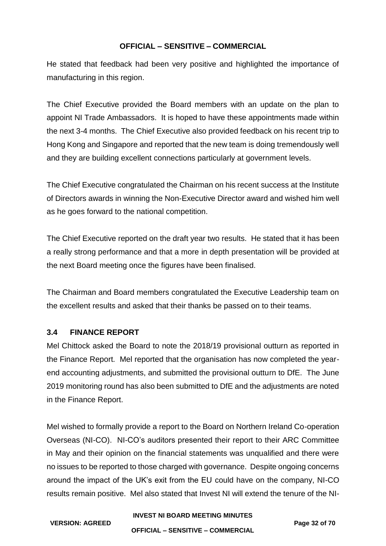He stated that feedback had been very positive and highlighted the importance of manufacturing in this region.

The Chief Executive provided the Board members with an update on the plan to appoint NI Trade Ambassadors. It is hoped to have these appointments made within the next 3-4 months. The Chief Executive also provided feedback on his recent trip to Hong Kong and Singapore and reported that the new team is doing tremendously well and they are building excellent connections particularly at government levels.

The Chief Executive congratulated the Chairman on his recent success at the Institute of Directors awards in winning the Non-Executive Director award and wished him well as he goes forward to the national competition.

The Chief Executive reported on the draft year two results. He stated that it has been a really strong performance and that a more in depth presentation will be provided at the next Board meeting once the figures have been finalised.

The Chairman and Board members congratulated the Executive Leadership team on the excellent results and asked that their thanks be passed on to their teams.

## **3.4 FINANCE REPORT**

Mel Chittock asked the Board to note the 2018/19 provisional outturn as reported in the Finance Report. Mel reported that the organisation has now completed the yearend accounting adjustments, and submitted the provisional outturn to DfE. The June 2019 monitoring round has also been submitted to DfE and the adjustments are noted in the Finance Report.

Mel wished to formally provide a report to the Board on Northern Ireland Co-operation Overseas (NI-CO). NI-CO's auditors presented their report to their ARC Committee in May and their opinion on the financial statements was unqualified and there were no issues to be reported to those charged with governance. Despite ongoing concerns around the impact of the UK's exit from the EU could have on the company, NI-CO results remain positive. Mel also stated that Invest NI will extend the tenure of the NI-

#### **INVEST NI BOARD MEETING MINUTES**

**VERSION: AGREED Page 32 of 70**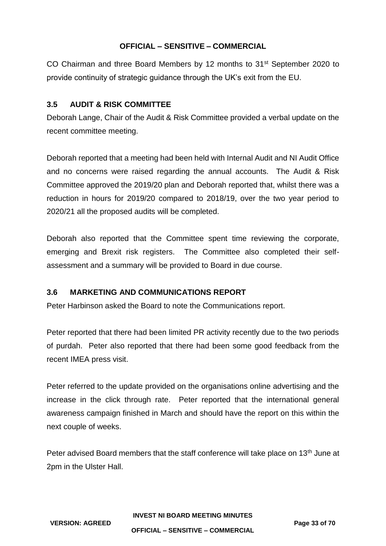CO Chairman and three Board Members by 12 months to 31st September 2020 to provide continuity of strategic guidance through the UK's exit from the EU.

## **3.5 AUDIT & RISK COMMITTEE**

Deborah Lange, Chair of the Audit & Risk Committee provided a verbal update on the recent committee meeting.

Deborah reported that a meeting had been held with Internal Audit and NI Audit Office and no concerns were raised regarding the annual accounts. The Audit & Risk Committee approved the 2019/20 plan and Deborah reported that, whilst there was a reduction in hours for 2019/20 compared to 2018/19, over the two year period to 2020/21 all the proposed audits will be completed.

Deborah also reported that the Committee spent time reviewing the corporate, emerging and Brexit risk registers. The Committee also completed their selfassessment and a summary will be provided to Board in due course.

#### **3.6 MARKETING AND COMMUNICATIONS REPORT**

Peter Harbinson asked the Board to note the Communications report.

Peter reported that there had been limited PR activity recently due to the two periods of purdah. Peter also reported that there had been some good feedback from the recent IMEA press visit.

Peter referred to the update provided on the organisations online advertising and the increase in the click through rate. Peter reported that the international general awareness campaign finished in March and should have the report on this within the next couple of weeks.

Peter advised Board members that the staff conference will take place on 13<sup>th</sup> June at 2pm in the Ulster Hall.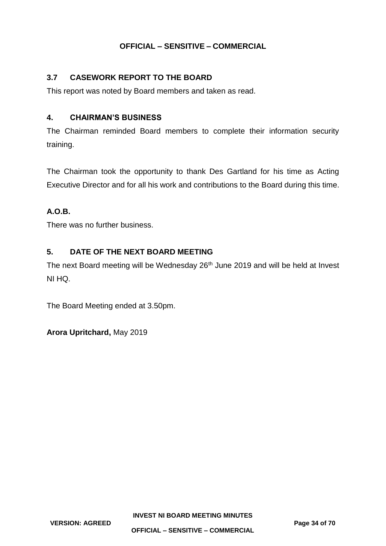## **3.7 CASEWORK REPORT TO THE BOARD**

This report was noted by Board members and taken as read.

## **4. CHAIRMAN'S BUSINESS**

The Chairman reminded Board members to complete their information security training.

The Chairman took the opportunity to thank Des Gartland for his time as Acting Executive Director and for all his work and contributions to the Board during this time.

## **A.O.B.**

There was no further business.

## **5. DATE OF THE NEXT BOARD MEETING**

The next Board meeting will be Wednesday 26<sup>th</sup> June 2019 and will be held at Invest NI HQ.

The Board Meeting ended at 3.50pm.

**Arora Upritchard,** May 2019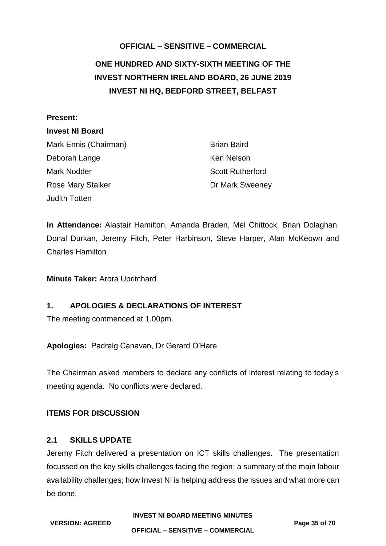# <span id="page-34-0"></span>**OFFICIAL – SENSITIVE – COMMERCIAL ONE HUNDRED AND SIXTY-SIXTH MEETING OF THE INVEST NORTHERN IRELAND BOARD, 26 JUNE 2019 INVEST NI HQ, BEDFORD STREET, BELFAST**

#### **Present:**

#### **Invest NI Board**

| Mark Ennis (Chairman)    | <b>Brian Baird</b>      |
|--------------------------|-------------------------|
| Deborah Lange            | Ken Nelson              |
| Mark Nodder              | <b>Scott Rutherford</b> |
| <b>Rose Mary Stalker</b> | Dr Mark Sweeney         |
| Judith Totten            |                         |

**In Attendance:** Alastair Hamilton, Amanda Braden, Mel Chittock, Brian Dolaghan, Donal Durkan, Jeremy Fitch, Peter Harbinson, Steve Harper, Alan McKeown and Charles Hamilton

**Minute Taker:** Arora Upritchard

## **1. APOLOGIES & DECLARATIONS OF INTEREST**

The meeting commenced at 1.00pm.

**Apologies:** Padraig Canavan, Dr Gerard O'Hare

The Chairman asked members to declare any conflicts of interest relating to today's meeting agenda. No conflicts were declared.

## **ITEMS FOR DISCUSSION**

## **2.1 SKILLS UPDATE**

Jeremy Fitch delivered a presentation on ICT skills challenges. The presentation focussed on the key skills challenges facing the region; a summary of the main labour availability challenges; how Invest NI is helping address the issues and what more can be done.

**INVEST NI BOARD MEETING MINUTES**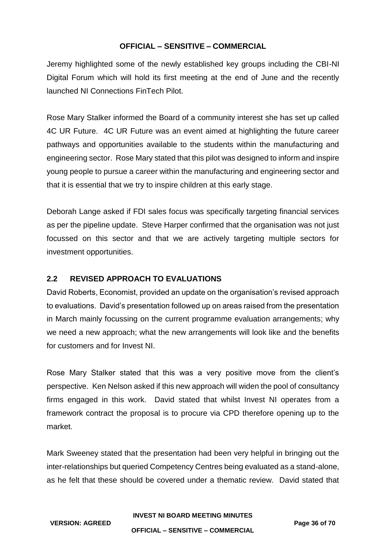Jeremy highlighted some of the newly established key groups including the CBI-NI Digital Forum which will hold its first meeting at the end of June and the recently launched NI Connections FinTech Pilot.

Rose Mary Stalker informed the Board of a community interest she has set up called 4C UR Future. 4C UR Future was an event aimed at highlighting the future career pathways and opportunities available to the students within the manufacturing and engineering sector. Rose Mary stated that this pilot was designed to inform and inspire young people to pursue a career within the manufacturing and engineering sector and that it is essential that we try to inspire children at this early stage.

Deborah Lange asked if FDI sales focus was specifically targeting financial services as per the pipeline update. Steve Harper confirmed that the organisation was not just focussed on this sector and that we are actively targeting multiple sectors for investment opportunities.

## **2.2 REVISED APPROACH TO EVALUATIONS**

David Roberts, Economist, provided an update on the organisation's revised approach to evaluations. David's presentation followed up on areas raised from the presentation in March mainly focussing on the current programme evaluation arrangements; why we need a new approach; what the new arrangements will look like and the benefits for customers and for Invest NI.

Rose Mary Stalker stated that this was a very positive move from the client's perspective. Ken Nelson asked if this new approach will widen the pool of consultancy firms engaged in this work. David stated that whilst Invest NI operates from a framework contract the proposal is to procure via CPD therefore opening up to the market.

Mark Sweeney stated that the presentation had been very helpful in bringing out the inter-relationships but queried Competency Centres being evaluated as a stand-alone, as he felt that these should be covered under a thematic review. David stated that

**INVEST NI BOARD MEETING MINUTES**

**VERSION: AGREED Page 36 of 70**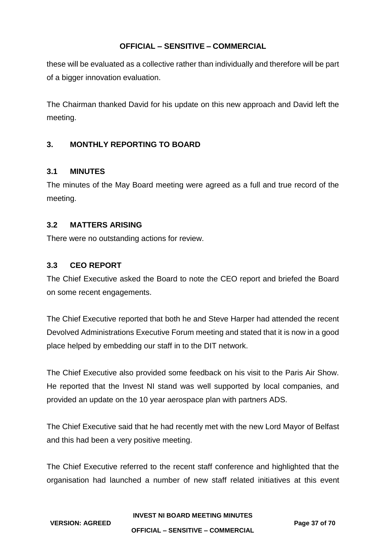these will be evaluated as a collective rather than individually and therefore will be part of a bigger innovation evaluation.

The Chairman thanked David for his update on this new approach and David left the meeting.

## **3. MONTHLY REPORTING TO BOARD**

#### **3.1 MINUTES**

The minutes of the May Board meeting were agreed as a full and true record of the meeting.

#### **3.2 MATTERS ARISING**

There were no outstanding actions for review.

## **3.3 CEO REPORT**

The Chief Executive asked the Board to note the CEO report and briefed the Board on some recent engagements.

The Chief Executive reported that both he and Steve Harper had attended the recent Devolved Administrations Executive Forum meeting and stated that it is now in a good place helped by embedding our staff in to the DIT network.

The Chief Executive also provided some feedback on his visit to the Paris Air Show. He reported that the Invest NI stand was well supported by local companies, and provided an update on the 10 year aerospace plan with partners ADS.

The Chief Executive said that he had recently met with the new Lord Mayor of Belfast and this had been a very positive meeting.

The Chief Executive referred to the recent staff conference and highlighted that the organisation had launched a number of new staff related initiatives at this event

**INVEST NI BOARD MEETING MINUTES**

**VERSION: AGREED Page 37 of 70**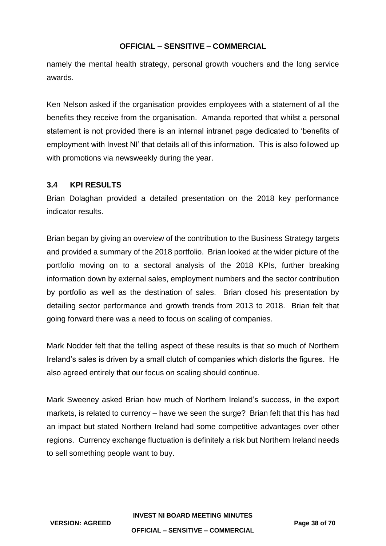namely the mental health strategy, personal growth vouchers and the long service awards.

Ken Nelson asked if the organisation provides employees with a statement of all the benefits they receive from the organisation. Amanda reported that whilst a personal statement is not provided there is an internal intranet page dedicated to 'benefits of employment with Invest NI' that details all of this information. This is also followed up with promotions via newsweekly during the year.

#### **3.4 KPI RESULTS**

Brian Dolaghan provided a detailed presentation on the 2018 key performance indicator results.

Brian began by giving an overview of the contribution to the Business Strategy targets and provided a summary of the 2018 portfolio. Brian looked at the wider picture of the portfolio moving on to a sectoral analysis of the 2018 KPIs, further breaking information down by external sales, employment numbers and the sector contribution by portfolio as well as the destination of sales. Brian closed his presentation by detailing sector performance and growth trends from 2013 to 2018. Brian felt that going forward there was a need to focus on scaling of companies.

Mark Nodder felt that the telling aspect of these results is that so much of Northern Ireland's sales is driven by a small clutch of companies which distorts the figures. He also agreed entirely that our focus on scaling should continue.

Mark Sweeney asked Brian how much of Northern Ireland's success, in the export markets, is related to currency – have we seen the surge? Brian felt that this has had an impact but stated Northern Ireland had some competitive advantages over other regions. Currency exchange fluctuation is definitely a risk but Northern Ireland needs to sell something people want to buy.

**INVEST NI BOARD MEETING MINUTES VERSION: AGREED Page 38 of 70**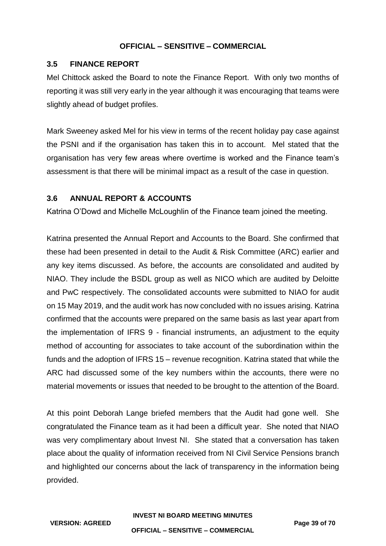#### **3.5 FINANCE REPORT**

Mel Chittock asked the Board to note the Finance Report. With only two months of reporting it was still very early in the year although it was encouraging that teams were slightly ahead of budget profiles.

Mark Sweeney asked Mel for his view in terms of the recent holiday pay case against the PSNI and if the organisation has taken this in to account. Mel stated that the organisation has very few areas where overtime is worked and the Finance team's assessment is that there will be minimal impact as a result of the case in question.

## **3.6 ANNUAL REPORT & ACCOUNTS**

Katrina O'Dowd and Michelle McLoughlin of the Finance team joined the meeting.

Katrina presented the Annual Report and Accounts to the Board. She confirmed that these had been presented in detail to the Audit & Risk Committee (ARC) earlier and any key items discussed. As before, the accounts are consolidated and audited by NIAO. They include the BSDL group as well as NICO which are audited by Deloitte and PwC respectively. The consolidated accounts were submitted to NIAO for audit on 15 May 2019, and the audit work has now concluded with no issues arising. Katrina confirmed that the accounts were prepared on the same basis as last year apart from the implementation of IFRS 9 - financial instruments, an adjustment to the equity method of accounting for associates to take account of the subordination within the funds and the adoption of IFRS 15 – revenue recognition. Katrina stated that while the ARC had discussed some of the key numbers within the accounts, there were no material movements or issues that needed to be brought to the attention of the Board.

At this point Deborah Lange briefed members that the Audit had gone well. She congratulated the Finance team as it had been a difficult year. She noted that NIAO was very complimentary about Invest NI. She stated that a conversation has taken place about the quality of information received from NI Civil Service Pensions branch and highlighted our concerns about the lack of transparency in the information being provided.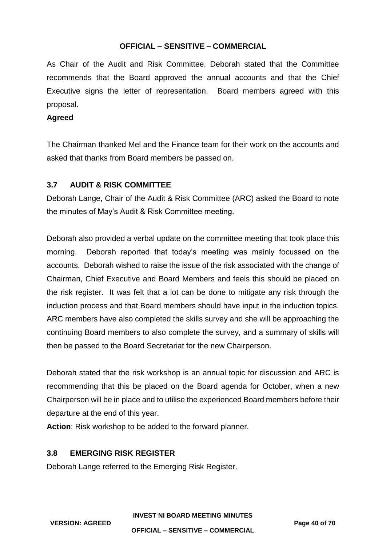As Chair of the Audit and Risk Committee, Deborah stated that the Committee recommends that the Board approved the annual accounts and that the Chief Executive signs the letter of representation. Board members agreed with this proposal.

#### **Agreed**

The Chairman thanked Mel and the Finance team for their work on the accounts and asked that thanks from Board members be passed on.

#### **3.7 AUDIT & RISK COMMITTEE**

Deborah Lange, Chair of the Audit & Risk Committee (ARC) asked the Board to note the minutes of May's Audit & Risk Committee meeting.

Deborah also provided a verbal update on the committee meeting that took place this morning. Deborah reported that today's meeting was mainly focussed on the accounts. Deborah wished to raise the issue of the risk associated with the change of Chairman, Chief Executive and Board Members and feels this should be placed on the risk register. It was felt that a lot can be done to mitigate any risk through the induction process and that Board members should have input in the induction topics. ARC members have also completed the skills survey and she will be approaching the continuing Board members to also complete the survey, and a summary of skills will then be passed to the Board Secretariat for the new Chairperson.

Deborah stated that the risk workshop is an annual topic for discussion and ARC is recommending that this be placed on the Board agenda for October, when a new Chairperson will be in place and to utilise the experienced Board members before their departure at the end of this year.

**Action**: Risk workshop to be added to the forward planner.

#### **3.8 EMERGING RISK REGISTER**

Deborah Lange referred to the Emerging Risk Register.

**INVEST NI BOARD MEETING MINUTES**

**VERSION: AGREED Page 40 of 70**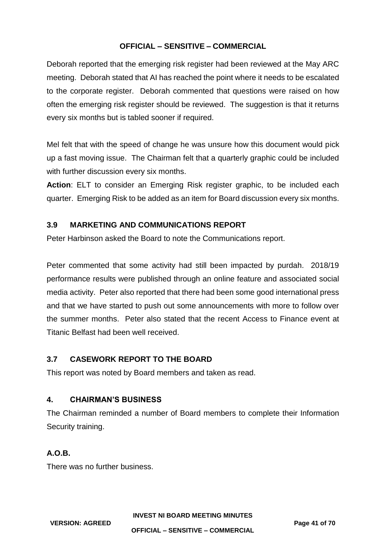Deborah reported that the emerging risk register had been reviewed at the May ARC meeting. Deborah stated that AI has reached the point where it needs to be escalated to the corporate register. Deborah commented that questions were raised on how often the emerging risk register should be reviewed. The suggestion is that it returns every six months but is tabled sooner if required.

Mel felt that with the speed of change he was unsure how this document would pick up a fast moving issue. The Chairman felt that a quarterly graphic could be included with further discussion every six months.

**Action**: ELT to consider an Emerging Risk register graphic, to be included each quarter. Emerging Risk to be added as an item for Board discussion every six months.

## **3.9 MARKETING AND COMMUNICATIONS REPORT**

Peter Harbinson asked the Board to note the Communications report.

Peter commented that some activity had still been impacted by purdah. 2018/19 performance results were published through an online feature and associated social media activity. Peter also reported that there had been some good international press and that we have started to push out some announcements with more to follow over the summer months. Peter also stated that the recent Access to Finance event at Titanic Belfast had been well received.

## **3.7 CASEWORK REPORT TO THE BOARD**

This report was noted by Board members and taken as read.

#### **4. CHAIRMAN'S BUSINESS**

The Chairman reminded a number of Board members to complete their Information Security training.

## **A.O.B.**

There was no further business.

**INVEST NI BOARD MEETING MINUTES**

**VERSION: AGREED Page 41 of 70**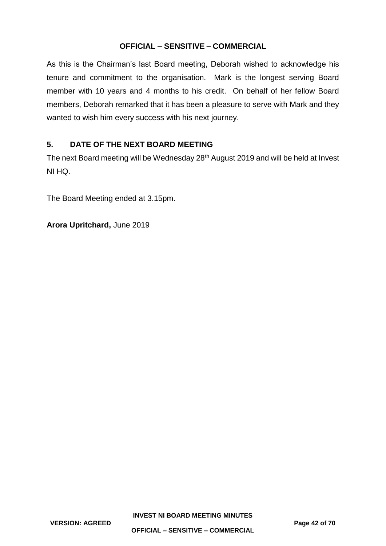As this is the Chairman's last Board meeting, Deborah wished to acknowledge his tenure and commitment to the organisation. Mark is the longest serving Board member with 10 years and 4 months to his credit. On behalf of her fellow Board members, Deborah remarked that it has been a pleasure to serve with Mark and they wanted to wish him every success with his next journey.

## **5. DATE OF THE NEXT BOARD MEETING**

The next Board meeting will be Wednesday 28<sup>th</sup> August 2019 and will be held at Invest NI HQ.

The Board Meeting ended at 3.15pm.

**Arora Upritchard,** June 2019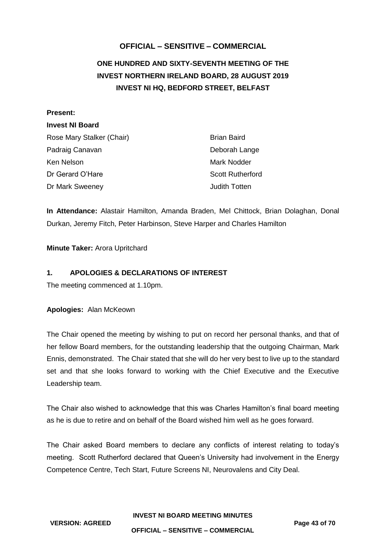## <span id="page-42-0"></span>**ONE HUNDRED AND SIXTY-SEVENTH MEETING OF THE INVEST NORTHERN IRELAND BOARD, 28 AUGUST 2019 INVEST NI HQ, BEDFORD STREET, BELFAST**

| <b>Present:</b>           |                         |
|---------------------------|-------------------------|
| <b>Invest NI Board</b>    |                         |
| Rose Mary Stalker (Chair) | <b>Brian Baird</b>      |
| Padraig Canavan           | Deborah Lange           |
| Ken Nelson                | <b>Mark Nodder</b>      |
| Dr Gerard O'Hare          | <b>Scott Rutherford</b> |
| Dr Mark Sweeney           | <b>Judith Totten</b>    |

**In Attendance:** Alastair Hamilton, Amanda Braden, Mel Chittock, Brian Dolaghan, Donal Durkan, Jeremy Fitch, Peter Harbinson, Steve Harper and Charles Hamilton

**Minute Taker:** Arora Upritchard

#### **1. APOLOGIES & DECLARATIONS OF INTEREST**

The meeting commenced at 1.10pm.

**Apologies:** Alan McKeown

The Chair opened the meeting by wishing to put on record her personal thanks, and that of her fellow Board members, for the outstanding leadership that the outgoing Chairman, Mark Ennis, demonstrated. The Chair stated that she will do her very best to live up to the standard set and that she looks forward to working with the Chief Executive and the Executive Leadership team.

The Chair also wished to acknowledge that this was Charles Hamilton's final board meeting as he is due to retire and on behalf of the Board wished him well as he goes forward.

The Chair asked Board members to declare any conflicts of interest relating to today's meeting. Scott Rutherford declared that Queen's University had involvement in the Energy Competence Centre, Tech Start, Future Screens NI, Neurovalens and City Deal.

**INVEST NI BOARD MEETING MINUTES**

**VERSION: AGREED Page 43 of 70**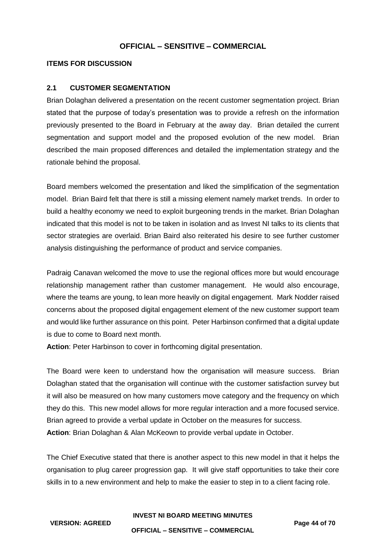#### **ITEMS FOR DISCUSSION**

#### **2.1 CUSTOMER SEGMENTATION**

Brian Dolaghan delivered a presentation on the recent customer segmentation project. Brian stated that the purpose of today's presentation was to provide a refresh on the information previously presented to the Board in February at the away day. Brian detailed the current segmentation and support model and the proposed evolution of the new model. Brian described the main proposed differences and detailed the implementation strategy and the rationale behind the proposal.

Board members welcomed the presentation and liked the simplification of the segmentation model. Brian Baird felt that there is still a missing element namely market trends. In order to build a healthy economy we need to exploit burgeoning trends in the market. Brian Dolaghan indicated that this model is not to be taken in isolation and as Invest NI talks to its clients that sector strategies are overlaid. Brian Baird also reiterated his desire to see further customer analysis distinguishing the performance of product and service companies.

Padraig Canavan welcomed the move to use the regional offices more but would encourage relationship management rather than customer management. He would also encourage, where the teams are young, to lean more heavily on digital engagement. Mark Nodder raised concerns about the proposed digital engagement element of the new customer support team and would like further assurance on this point. Peter Harbinson confirmed that a digital update is due to come to Board next month.

**Action**: Peter Harbinson to cover in forthcoming digital presentation.

The Board were keen to understand how the organisation will measure success. Brian Dolaghan stated that the organisation will continue with the customer satisfaction survey but it will also be measured on how many customers move category and the frequency on which they do this. This new model allows for more regular interaction and a more focused service. Brian agreed to provide a verbal update in October on the measures for success. **Action**: Brian Dolaghan & Alan McKeown to provide verbal update in October.

The Chief Executive stated that there is another aspect to this new model in that it helps the organisation to plug career progression gap. It will give staff opportunities to take their core skills in to a new environment and help to make the easier to step in to a client facing role.

#### **INVEST NI BOARD MEETING MINUTES**

**VERSION: AGREED Page 44 of 70**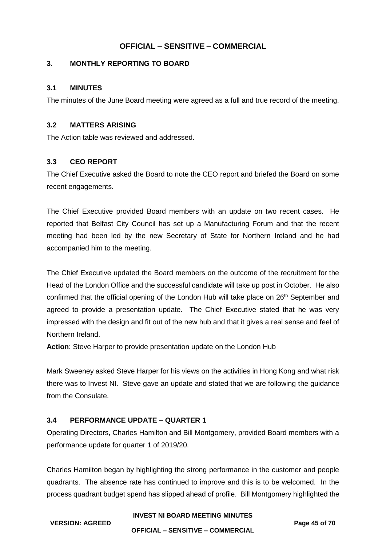#### **3. MONTHLY REPORTING TO BOARD**

#### **3.1 MINUTES**

The minutes of the June Board meeting were agreed as a full and true record of the meeting.

#### **3.2 MATTERS ARISING**

The Action table was reviewed and addressed.

#### **3.3 CEO REPORT**

The Chief Executive asked the Board to note the CEO report and briefed the Board on some recent engagements.

The Chief Executive provided Board members with an update on two recent cases. He reported that Belfast City Council has set up a Manufacturing Forum and that the recent meeting had been led by the new Secretary of State for Northern Ireland and he had accompanied him to the meeting.

The Chief Executive updated the Board members on the outcome of the recruitment for the Head of the London Office and the successful candidate will take up post in October. He also confirmed that the official opening of the London Hub will take place on 26<sup>th</sup> September and agreed to provide a presentation update. The Chief Executive stated that he was very impressed with the design and fit out of the new hub and that it gives a real sense and feel of Northern Ireland.

**Action**: Steve Harper to provide presentation update on the London Hub

Mark Sweeney asked Steve Harper for his views on the activities in Hong Kong and what risk there was to Invest NI. Steve gave an update and stated that we are following the guidance from the Consulate.

#### **3.4 PERFORMANCE UPDATE – QUARTER 1**

Operating Directors, Charles Hamilton and Bill Montgomery, provided Board members with a performance update for quarter 1 of 2019/20.

Charles Hamilton began by highlighting the strong performance in the customer and people quadrants. The absence rate has continued to improve and this is to be welcomed. In the process quadrant budget spend has slipped ahead of profile. Bill Montgomery highlighted the

#### **INVEST NI BOARD MEETING MINUTES**

**VERSION: AGREED Page 45 of 70**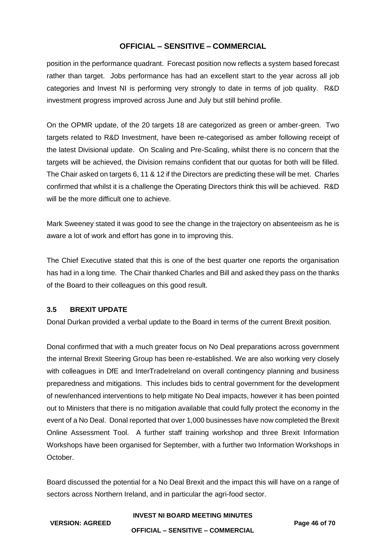position in the performance quadrant. Forecast position now reflects a system based forecast rather than target. Jobs performance has had an excellent start to the year across all job categories and Invest NI is performing very strongly to date in terms of job quality. R&D investment progress improved across June and July but still behind profile.

On the OPMR update, of the 20 targets 18 are categorized as green or amber-green. Two targets related to R&D Investment, have been re-categorised as amber following receipt of the latest Divisional update. On Scaling and Pre-Scaling, whilst there is no concern that the targets will be achieved, the Division remains confident that our quotas for both will be filled. The Chair asked on targets 6, 11 & 12 if the Directors are predicting these will be met. Charles confirmed that whilst it is a challenge the Operating Directors think this will be achieved. R&D will be the more difficult one to achieve.

Mark Sweeney stated it was good to see the change in the trajectory on absenteeism as he is aware a lot of work and effort has gone in to improving this.

The Chief Executive stated that this is one of the best quarter one reports the organisation has had in a long time. The Chair thanked Charles and Bill and asked they pass on the thanks of the Board to their colleagues on this good result.

#### **3.5 BREXIT UPDATE**

Donal Durkan provided a verbal update to the Board in terms of the current Brexit position.

Donal confirmed that with a much greater focus on No Deal preparations across government the internal Brexit Steering Group has been re-established. We are also working very closely with colleagues in DfE and InterTradeIreland on overall contingency planning and business preparedness and mitigations. This includes bids to central government for the development of new/enhanced interventions to help mitigate No Deal impacts, however it has been pointed out to Ministers that there is no mitigation available that could fully protect the economy in the event of a No Deal. Donal reported that over 1,000 businesses have now completed the Brexit Online Assessment Tool. A further staff training workshop and three Brexit Information Workshops have been organised for September, with a further two Information Workshops in October.

Board discussed the potential for a No Deal Brexit and the impact this will have on a range of sectors across Northern Ireland, and in particular the agri-food sector.

#### **INVEST NI BOARD MEETING MINUTES**

**VERSION: AGREED Page 46 of 70**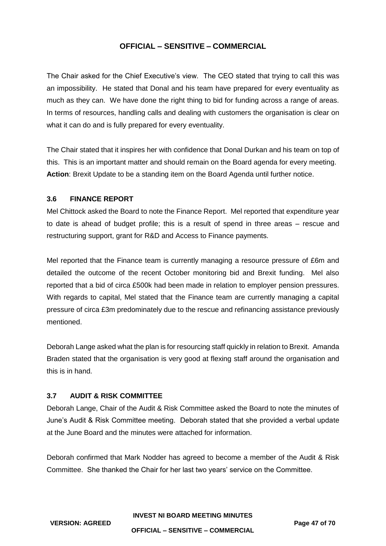The Chair asked for the Chief Executive's view. The CEO stated that trying to call this was an impossibility. He stated that Donal and his team have prepared for every eventuality as much as they can. We have done the right thing to bid for funding across a range of areas. In terms of resources, handling calls and dealing with customers the organisation is clear on what it can do and is fully prepared for every eventuality.

The Chair stated that it inspires her with confidence that Donal Durkan and his team on top of this. This is an important matter and should remain on the Board agenda for every meeting. **Action**: Brexit Update to be a standing item on the Board Agenda until further notice.

#### **3.6 FINANCE REPORT**

Mel Chittock asked the Board to note the Finance Report. Mel reported that expenditure year to date is ahead of budget profile; this is a result of spend in three areas – rescue and restructuring support, grant for R&D and Access to Finance payments.

Mel reported that the Finance team is currently managing a resource pressure of £6m and detailed the outcome of the recent October monitoring bid and Brexit funding. Mel also reported that a bid of circa £500k had been made in relation to employer pension pressures. With regards to capital, Mel stated that the Finance team are currently managing a capital pressure of circa £3m predominately due to the rescue and refinancing assistance previously mentioned.

Deborah Lange asked what the plan is for resourcing staff quickly in relation to Brexit. Amanda Braden stated that the organisation is very good at flexing staff around the organisation and this is in hand.

#### **3.7 AUDIT & RISK COMMITTEE**

Deborah Lange, Chair of the Audit & Risk Committee asked the Board to note the minutes of June's Audit & Risk Committee meeting. Deborah stated that she provided a verbal update at the June Board and the minutes were attached for information.

Deborah confirmed that Mark Nodder has agreed to become a member of the Audit & Risk Committee. She thanked the Chair for her last two years' service on the Committee.

**INVEST NI BOARD MEETING MINUTES**

**VERSION: AGREED Page 47 of 70**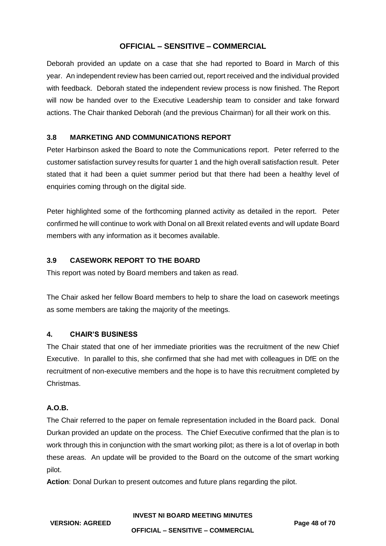Deborah provided an update on a case that she had reported to Board in March of this year. An independent review has been carried out, report received and the individual provided with feedback. Deborah stated the independent review process is now finished. The Report will now be handed over to the Executive Leadership team to consider and take forward actions. The Chair thanked Deborah (and the previous Chairman) for all their work on this.

#### **3.8 MARKETING AND COMMUNICATIONS REPORT**

Peter Harbinson asked the Board to note the Communications report. Peter referred to the customer satisfaction survey results for quarter 1 and the high overall satisfaction result. Peter stated that it had been a quiet summer period but that there had been a healthy level of enquiries coming through on the digital side.

Peter highlighted some of the forthcoming planned activity as detailed in the report. Peter confirmed he will continue to work with Donal on all Brexit related events and will update Board members with any information as it becomes available.

#### **3.9 CASEWORK REPORT TO THE BOARD**

This report was noted by Board members and taken as read.

The Chair asked her fellow Board members to help to share the load on casework meetings as some members are taking the majority of the meetings.

#### **4. CHAIR'S BUSINESS**

The Chair stated that one of her immediate priorities was the recruitment of the new Chief Executive. In parallel to this, she confirmed that she had met with colleagues in DfE on the recruitment of non-executive members and the hope is to have this recruitment completed by Christmas.

#### **A.O.B.**

The Chair referred to the paper on female representation included in the Board pack. Donal Durkan provided an update on the process. The Chief Executive confirmed that the plan is to work through this in conjunction with the smart working pilot; as there is a lot of overlap in both these areas. An update will be provided to the Board on the outcome of the smart working pilot.

**Action**: Donal Durkan to present outcomes and future plans regarding the pilot.

**INVEST NI BOARD MEETING MINUTES**

**VERSION: AGREED Page 48 of 70**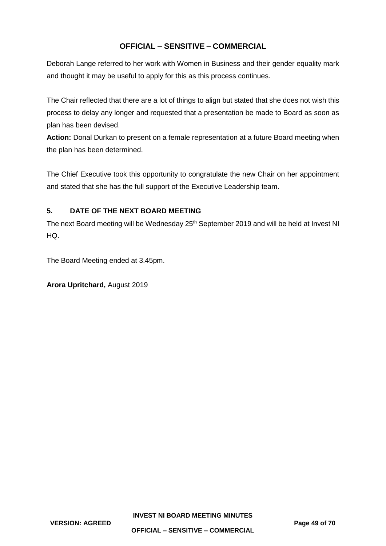Deborah Lange referred to her work with Women in Business and their gender equality mark and thought it may be useful to apply for this as this process continues.

The Chair reflected that there are a lot of things to align but stated that she does not wish this process to delay any longer and requested that a presentation be made to Board as soon as plan has been devised.

**Action:** Donal Durkan to present on a female representation at a future Board meeting when the plan has been determined.

The Chief Executive took this opportunity to congratulate the new Chair on her appointment and stated that she has the full support of the Executive Leadership team.

## **5. DATE OF THE NEXT BOARD MEETING**

The next Board meeting will be Wednesday 25<sup>th</sup> September 2019 and will be held at Invest NI HQ.

The Board Meeting ended at 3.45pm.

**Arora Upritchard,** August 2019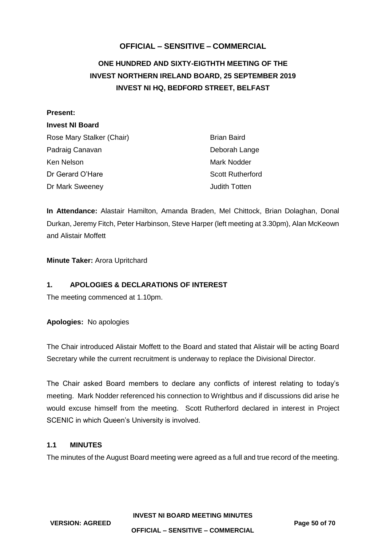## <span id="page-49-0"></span>**ONE HUNDRED AND SIXTY-EIGTHTH MEETING OF THE INVEST NORTHERN IRELAND BOARD, 25 SEPTEMBER 2019 INVEST NI HQ, BEDFORD STREET, BELFAST**

| <b>Present:</b>           |                         |
|---------------------------|-------------------------|
| <b>Invest NI Board</b>    |                         |
| Rose Mary Stalker (Chair) | <b>Brian Baird</b>      |
| Padraig Canavan           | Deborah Lange           |
| Ken Nelson                | Mark Nodder             |
| Dr Gerard O'Hare          | <b>Scott Rutherford</b> |
| Dr Mark Sweeney           | <b>Judith Totten</b>    |

**In Attendance:** Alastair Hamilton, Amanda Braden, Mel Chittock, Brian Dolaghan, Donal Durkan, Jeremy Fitch, Peter Harbinson, Steve Harper (left meeting at 3.30pm), Alan McKeown and Alistair Moffett

**Minute Taker:** Arora Upritchard

#### **1. APOLOGIES & DECLARATIONS OF INTEREST**

The meeting commenced at 1.10pm.

**Apologies:** No apologies

The Chair introduced Alistair Moffett to the Board and stated that Alistair will be acting Board Secretary while the current recruitment is underway to replace the Divisional Director.

The Chair asked Board members to declare any conflicts of interest relating to today's meeting. Mark Nodder referenced his connection to Wrightbus and if discussions did arise he would excuse himself from the meeting. Scott Rutherford declared in interest in Project SCENIC in which Queen's University is involved.

#### **1.1 MINUTES**

The minutes of the August Board meeting were agreed as a full and true record of the meeting.

**INVEST NI BOARD MEETING MINUTES**

**VERSION: AGREED Page 50 of 70**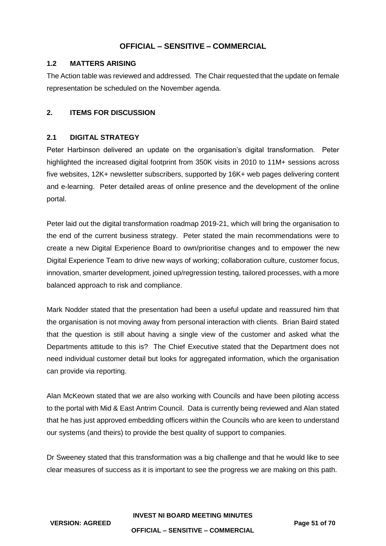#### **1.2 MATTERS ARISING**

The Action table was reviewed and addressed. The Chair requested that the update on female representation be scheduled on the November agenda.

#### **2. ITEMS FOR DISCUSSION**

#### **2.1 DIGITAL STRATEGY**

Peter Harbinson delivered an update on the organisation's digital transformation. Peter highlighted the increased digital footprint from 350K visits in 2010 to 11M+ sessions across five websites, 12K+ newsletter subscribers, supported by 16K+ web pages delivering content and e-learning. Peter detailed areas of online presence and the development of the online portal.

Peter laid out the digital transformation roadmap 2019-21, which will bring the organisation to the end of the current business strategy. Peter stated the main recommendations were to create a new Digital Experience Board to own/prioritise changes and to empower the new Digital Experience Team to drive new ways of working; collaboration culture, customer focus, innovation, smarter development, joined up/regression testing, tailored processes, with a more balanced approach to risk and compliance.

Mark Nodder stated that the presentation had been a useful update and reassured him that the organisation is not moving away from personal interaction with clients. Brian Baird stated that the question is still about having a single view of the customer and asked what the Departments attitude to this is? The Chief Executive stated that the Department does not need individual customer detail but looks for aggregated information, which the organisation can provide via reporting.

Alan McKeown stated that we are also working with Councils and have been piloting access to the portal with Mid & East Antrim Council. Data is currently being reviewed and Alan stated that he has just approved embedding officers within the Councils who are keen to understand our systems (and theirs) to provide the best quality of support to companies.

Dr Sweeney stated that this transformation was a big challenge and that he would like to see clear measures of success as it is important to see the progress we are making on this path.

**INVEST NI BOARD MEETING MINUTES**

**VERSION: AGREED Page 51 of 70**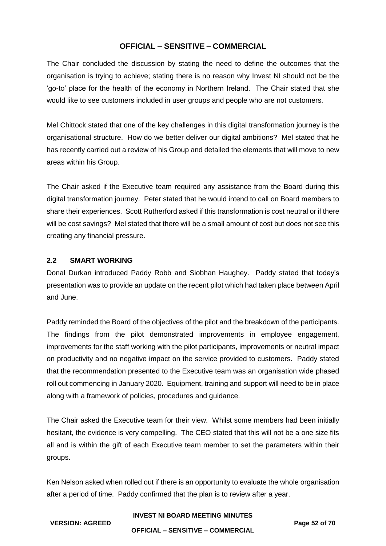The Chair concluded the discussion by stating the need to define the outcomes that the organisation is trying to achieve; stating there is no reason why Invest NI should not be the 'go-to' place for the health of the economy in Northern Ireland. The Chair stated that she would like to see customers included in user groups and people who are not customers.

Mel Chittock stated that one of the key challenges in this digital transformation journey is the organisational structure. How do we better deliver our digital ambitions? Mel stated that he has recently carried out a review of his Group and detailed the elements that will move to new areas within his Group.

The Chair asked if the Executive team required any assistance from the Board during this digital transformation journey. Peter stated that he would intend to call on Board members to share their experiences. Scott Rutherford asked if this transformation is cost neutral or if there will be cost savings? Mel stated that there will be a small amount of cost but does not see this creating any financial pressure.

#### **2.2 SMART WORKING**

Donal Durkan introduced Paddy Robb and Siobhan Haughey. Paddy stated that today's presentation was to provide an update on the recent pilot which had taken place between April and June.

Paddy reminded the Board of the objectives of the pilot and the breakdown of the participants. The findings from the pilot demonstrated improvements in employee engagement, improvements for the staff working with the pilot participants, improvements or neutral impact on productivity and no negative impact on the service provided to customers. Paddy stated that the recommendation presented to the Executive team was an organisation wide phased roll out commencing in January 2020. Equipment, training and support will need to be in place along with a framework of policies, procedures and guidance.

The Chair asked the Executive team for their view. Whilst some members had been initially hesitant, the evidence is very compelling. The CEO stated that this will not be a one size fits all and is within the gift of each Executive team member to set the parameters within their groups.

Ken Nelson asked when rolled out if there is an opportunity to evaluate the whole organisation after a period of time. Paddy confirmed that the plan is to review after a year.

#### **INVEST NI BOARD MEETING MINUTES**

**VERSION: AGREED Page 52 of 70**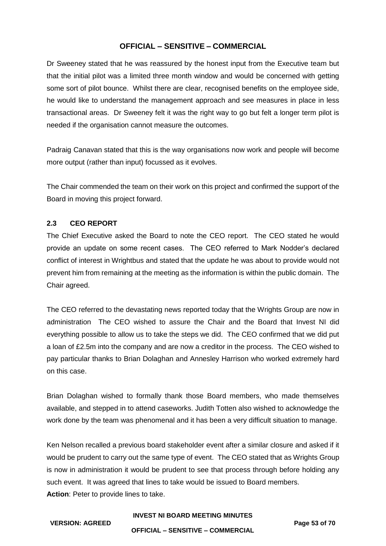Dr Sweeney stated that he was reassured by the honest input from the Executive team but that the initial pilot was a limited three month window and would be concerned with getting some sort of pilot bounce. Whilst there are clear, recognised benefits on the employee side, he would like to understand the management approach and see measures in place in less transactional areas. Dr Sweeney felt it was the right way to go but felt a longer term pilot is needed if the organisation cannot measure the outcomes.

Padraig Canavan stated that this is the way organisations now work and people will become more output (rather than input) focussed as it evolves.

The Chair commended the team on their work on this project and confirmed the support of the Board in moving this project forward.

#### **2.3 CEO REPORT**

The Chief Executive asked the Board to note the CEO report. The CEO stated he would provide an update on some recent cases. The CEO referred to Mark Nodder's declared conflict of interest in Wrightbus and stated that the update he was about to provide would not prevent him from remaining at the meeting as the information is within the public domain. The Chair agreed.

The CEO referred to the devastating news reported today that the Wrights Group are now in administration The CEO wished to assure the Chair and the Board that Invest NI did everything possible to allow us to take the steps we did. The CEO confirmed that we did put a loan of £2.5m into the company and are now a creditor in the process. The CEO wished to pay particular thanks to Brian Dolaghan and Annesley Harrison who worked extremely hard on this case.

Brian Dolaghan wished to formally thank those Board members, who made themselves available, and stepped in to attend caseworks. Judith Totten also wished to acknowledge the work done by the team was phenomenal and it has been a very difficult situation to manage.

Ken Nelson recalled a previous board stakeholder event after a similar closure and asked if it would be prudent to carry out the same type of event. The CEO stated that as Wrights Group is now in administration it would be prudent to see that process through before holding any such event. It was agreed that lines to take would be issued to Board members. **Action**: Peter to provide lines to take.

#### **INVEST NI BOARD MEETING MINUTES**

**VERSION: AGREED Page 53 of 70**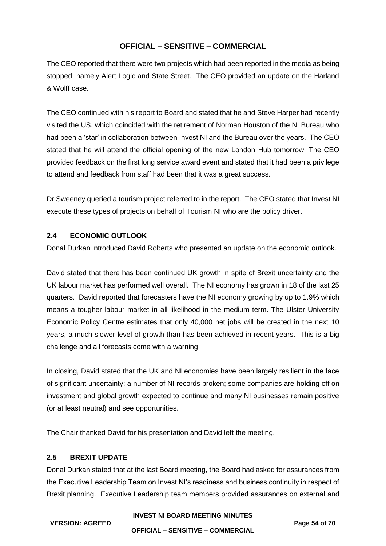The CEO reported that there were two projects which had been reported in the media as being stopped, namely Alert Logic and State Street. The CEO provided an update on the Harland & Wolff case.

The CEO continued with his report to Board and stated that he and Steve Harper had recently visited the US, which coincided with the retirement of Norman Houston of the NI Bureau who had been a 'star' in collaboration between Invest NI and the Bureau over the years. The CEO stated that he will attend the official opening of the new London Hub tomorrow. The CEO provided feedback on the first long service award event and stated that it had been a privilege to attend and feedback from staff had been that it was a great success.

Dr Sweeney queried a tourism project referred to in the report. The CEO stated that Invest NI execute these types of projects on behalf of Tourism NI who are the policy driver.

#### **2.4 ECONOMIC OUTLOOK**

Donal Durkan introduced David Roberts who presented an update on the economic outlook.

David stated that there has been continued UK growth in spite of Brexit uncertainty and the UK labour market has performed well overall. The NI economy has grown in 18 of the last 25 quarters. David reported that forecasters have the NI economy growing by up to 1.9% which means a tougher labour market in all likelihood in the medium term. The Ulster University Economic Policy Centre estimates that only 40,000 net jobs will be created in the next 10 years, a much slower level of growth than has been achieved in recent years. This is a big challenge and all forecasts come with a warning.

In closing, David stated that the UK and NI economies have been largely resilient in the face of significant uncertainty; a number of NI records broken; some companies are holding off on investment and global growth expected to continue and many NI businesses remain positive (or at least neutral) and see opportunities.

The Chair thanked David for his presentation and David left the meeting.

#### **2.5 BREXIT UPDATE**

Donal Durkan stated that at the last Board meeting, the Board had asked for assurances from the Executive Leadership Team on Invest NI's readiness and business continuity in respect of Brexit planning. Executive Leadership team members provided assurances on external and

#### **INVEST NI BOARD MEETING MINUTES**

**VERSION: AGREED Page 54 of 70**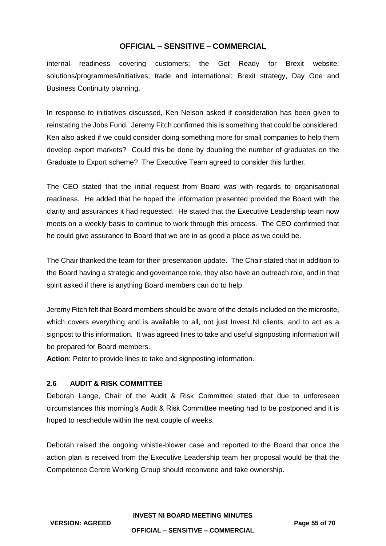internal readiness covering customers; the Get Ready for Brexit website; solutions/programmes/initiatives; trade and international; Brexit strategy, Day One and Business Continuity planning.

In response to initiatives discussed, Ken Nelson asked if consideration has been given to reinstating the Jobs Fund. Jeremy Fitch confirmed this is something that could be considered. Ken also asked if we could consider doing something more for small companies to help them develop export markets? Could this be done by doubling the number of graduates on the Graduate to Export scheme? The Executive Team agreed to consider this further.

The CEO stated that the initial request from Board was with regards to organisational readiness. He added that he hoped the information presented provided the Board with the clarity and assurances it had requested. He stated that the Executive Leadership team now meets on a weekly basis to continue to work through this process. The CEO confirmed that he could give assurance to Board that we are in as good a place as we could be.

The Chair thanked the team for their presentation update. The Chair stated that in addition to the Board having a strategic and governance role, they also have an outreach role, and in that spirit asked if there is anything Board members can do to help.

Jeremy Fitch felt that Board members should be aware of the details included on the microsite, which covers everything and is available to all, not just Invest NI clients, and to act as a signpost to this information. It was agreed lines to take and useful signposting information will be prepared for Board members.

Action: Peter to provide lines to take and signposting information.

#### **2.6 AUDIT & RISK COMMITTEE**

Deborah Lange, Chair of the Audit & Risk Committee stated that due to unforeseen circumstances this morning's Audit & Risk Committee meeting had to be postponed and it is hoped to reschedule within the next couple of weeks.

Deborah raised the ongoing whistle-blower case and reported to the Board that once the action plan is received from the Executive Leadership team her proposal would be that the Competence Centre Working Group should reconvene and take ownership.

**INVEST NI BOARD MEETING MINUTES**

**VERSION: AGREED Page 55 of 70**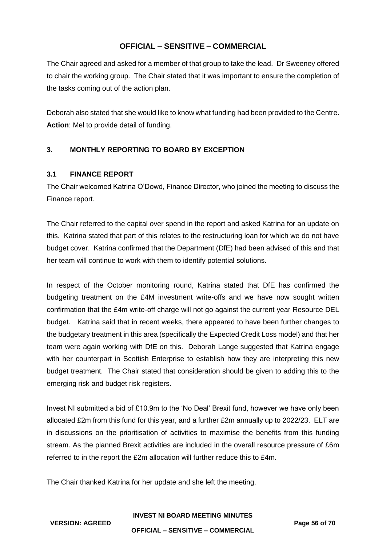The Chair agreed and asked for a member of that group to take the lead. Dr Sweeney offered to chair the working group. The Chair stated that it was important to ensure the completion of the tasks coming out of the action plan.

Deborah also stated that she would like to know what funding had been provided to the Centre. **Action**: Mel to provide detail of funding.

## **3. MONTHLY REPORTING TO BOARD BY EXCEPTION**

#### **3.1 FINANCE REPORT**

The Chair welcomed Katrina O'Dowd, Finance Director, who joined the meeting to discuss the Finance report.

The Chair referred to the capital over spend in the report and asked Katrina for an update on this. Katrina stated that part of this relates to the restructuring loan for which we do not have budget cover. Katrina confirmed that the Department (DfE) had been advised of this and that her team will continue to work with them to identify potential solutions.

In respect of the October monitoring round, Katrina stated that DfE has confirmed the budgeting treatment on the £4M investment write-offs and we have now sought written confirmation that the £4m write-off charge will not go against the current year Resource DEL budget. Katrina said that in recent weeks, there appeared to have been further changes to the budgetary treatment in this area (specifically the Expected Credit Loss model) and that her team were again working with DfE on this. Deborah Lange suggested that Katrina engage with her counterpart in Scottish Enterprise to establish how they are interpreting this new budget treatment. The Chair stated that consideration should be given to adding this to the emerging risk and budget risk registers.

Invest NI submitted a bid of £10.9m to the 'No Deal' Brexit fund, however we have only been allocated £2m from this fund for this year, and a further £2m annually up to 2022/23. ELT are in discussions on the prioritisation of activities to maximise the benefits from this funding stream. As the planned Brexit activities are included in the overall resource pressure of £6m referred to in the report the £2m allocation will further reduce this to £4m.

The Chair thanked Katrina for her update and she left the meeting.

**INVEST NI BOARD MEETING MINUTES**

**VERSION: AGREED Page 56 of 70**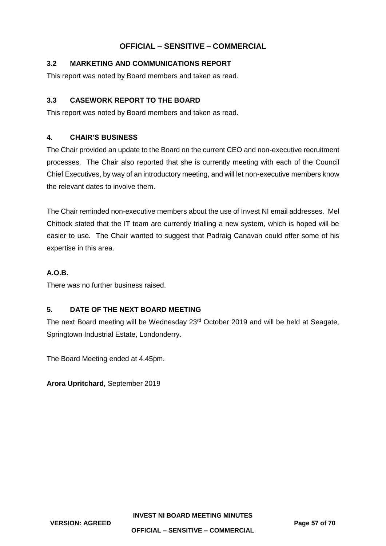#### **3.2 MARKETING AND COMMUNICATIONS REPORT**

This report was noted by Board members and taken as read.

#### **3.3 CASEWORK REPORT TO THE BOARD**

This report was noted by Board members and taken as read.

#### **4. CHAIR'S BUSINESS**

The Chair provided an update to the Board on the current CEO and non-executive recruitment processes. The Chair also reported that she is currently meeting with each of the Council Chief Executives, by way of an introductory meeting, and will let non-executive members know the relevant dates to involve them.

The Chair reminded non-executive members about the use of Invest NI email addresses. Mel Chittock stated that the IT team are currently trialling a new system, which is hoped will be easier to use. The Chair wanted to suggest that Padraig Canavan could offer some of his expertise in this area.

#### **A.O.B.**

There was no further business raised.

#### **5. DATE OF THE NEXT BOARD MEETING**

The next Board meeting will be Wednesday 23rd October 2019 and will be held at Seagate, Springtown Industrial Estate, Londonderry.

The Board Meeting ended at 4.45pm.

**Arora Upritchard,** September 2019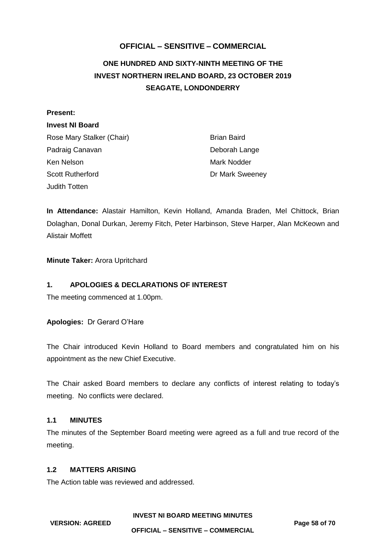## <span id="page-57-0"></span>**ONE HUNDRED AND SIXTY-NINTH MEETING OF THE INVEST NORTHERN IRELAND BOARD, 23 OCTOBER 2019 SEAGATE, LONDONDERRY**

| <b>Present:</b>           |                    |
|---------------------------|--------------------|
| <b>Invest NI Board</b>    |                    |
| Rose Mary Stalker (Chair) | Brian Baird        |
| Padraig Canavan           | Deborah Lange      |
| Ken Nelson                | <b>Mark Nodder</b> |
| <b>Scott Rutherford</b>   | Dr Mark Sweeney    |
| <b>Judith Totten</b>      |                    |

**In Attendance:** Alastair Hamilton, Kevin Holland, Amanda Braden, Mel Chittock, Brian Dolaghan, Donal Durkan, Jeremy Fitch, Peter Harbinson, Steve Harper, Alan McKeown and Alistair Moffett

**Minute Taker:** Arora Upritchard

#### **1. APOLOGIES & DECLARATIONS OF INTEREST**

The meeting commenced at 1.00pm.

**Apologies:** Dr Gerard O'Hare

The Chair introduced Kevin Holland to Board members and congratulated him on his appointment as the new Chief Executive.

The Chair asked Board members to declare any conflicts of interest relating to today's meeting. No conflicts were declared.

#### **1.1 MINUTES**

The minutes of the September Board meeting were agreed as a full and true record of the meeting.

#### **1.2 MATTERS ARISING**

The Action table was reviewed and addressed.

**INVEST NI BOARD MEETING MINUTES**

**VERSION: AGREED Page 58 of 70**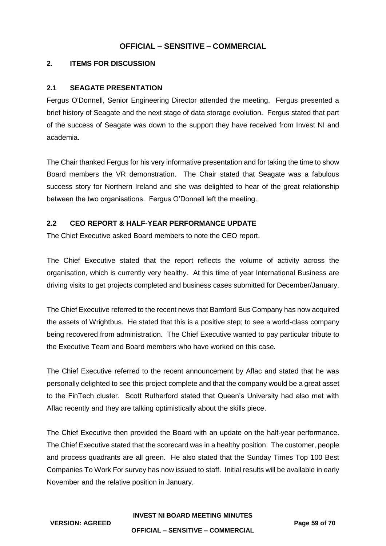#### **2. ITEMS FOR DISCUSSION**

#### **2.1 SEAGATE PRESENTATION**

Fergus O'Donnell, Senior Engineering Director attended the meeting. Fergus presented a brief history of Seagate and the next stage of data storage evolution. Fergus stated that part of the success of Seagate was down to the support they have received from Invest NI and academia.

The Chair thanked Fergus for his very informative presentation and for taking the time to show Board members the VR demonstration. The Chair stated that Seagate was a fabulous success story for Northern Ireland and she was delighted to hear of the great relationship between the two organisations. Fergus O'Donnell left the meeting.

#### **2.2 CEO REPORT & HALF-YEAR PERFORMANCE UPDATE**

The Chief Executive asked Board members to note the CEO report.

The Chief Executive stated that the report reflects the volume of activity across the organisation, which is currently very healthy. At this time of year International Business are driving visits to get projects completed and business cases submitted for December/January.

The Chief Executive referred to the recent news that Bamford Bus Company has now acquired the assets of Wrightbus. He stated that this is a positive step; to see a world-class company being recovered from administration. The Chief Executive wanted to pay particular tribute to the Executive Team and Board members who have worked on this case.

The Chief Executive referred to the recent announcement by Aflac and stated that he was personally delighted to see this project complete and that the company would be a great asset to the FinTech cluster. Scott Rutherford stated that Queen's University had also met with Aflac recently and they are talking optimistically about the skills piece.

The Chief Executive then provided the Board with an update on the half-year performance. The Chief Executive stated that the scorecard was in a healthy position. The customer, people and process quadrants are all green. He also stated that the Sunday Times Top 100 Best Companies To Work For survey has now issued to staff. Initial results will be available in early November and the relative position in January.

#### **INVEST NI BOARD MEETING MINUTES**

**VERSION: AGREED Page 59 of 70**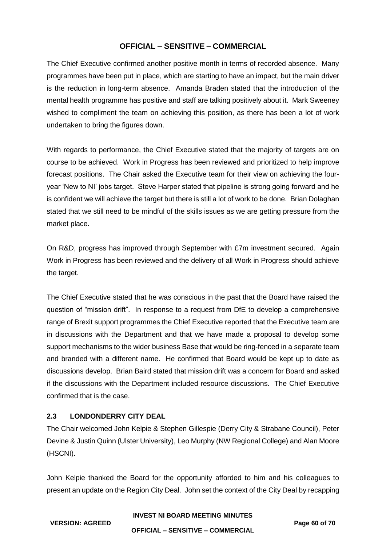The Chief Executive confirmed another positive month in terms of recorded absence. Many programmes have been put in place, which are starting to have an impact, but the main driver is the reduction in long-term absence. Amanda Braden stated that the introduction of the mental health programme has positive and staff are talking positively about it. Mark Sweeney wished to compliment the team on achieving this position, as there has been a lot of work undertaken to bring the figures down.

With regards to performance, the Chief Executive stated that the majority of targets are on course to be achieved. Work in Progress has been reviewed and prioritized to help improve forecast positions. The Chair asked the Executive team for their view on achieving the fouryear 'New to NI' jobs target. Steve Harper stated that pipeline is strong going forward and he is confident we will achieve the target but there is still a lot of work to be done. Brian Dolaghan stated that we still need to be mindful of the skills issues as we are getting pressure from the market place.

On R&D, progress has improved through September with £7m investment secured. Again Work in Progress has been reviewed and the delivery of all Work in Progress should achieve the target.

The Chief Executive stated that he was conscious in the past that the Board have raised the question of "mission drift". In response to a request from DfE to develop a comprehensive range of Brexit support programmes the Chief Executive reported that the Executive team are in discussions with the Department and that we have made a proposal to develop some support mechanisms to the wider business Base that would be ring-fenced in a separate team and branded with a different name. He confirmed that Board would be kept up to date as discussions develop. Brian Baird stated that mission drift was a concern for Board and asked if the discussions with the Department included resource discussions. The Chief Executive confirmed that is the case.

#### **2.3 LONDONDERRY CITY DEAL**

The Chair welcomed John Kelpie & Stephen Gillespie (Derry City & Strabane Council), Peter Devine & Justin Quinn (Ulster University), Leo Murphy (NW Regional College) and Alan Moore (HSCNI).

John Kelpie thanked the Board for the opportunity afforded to him and his colleagues to present an update on the Region City Deal. John set the context of the City Deal by recapping

**INVEST NI BOARD MEETING MINUTES**

**VERSION: AGREED Page 60 of 70**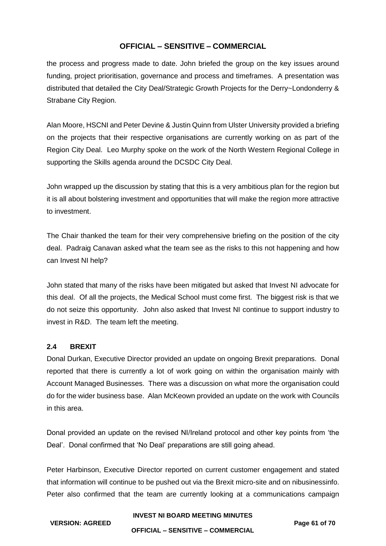the process and progress made to date. John briefed the group on the key issues around funding, project prioritisation, governance and process and timeframes. A presentation was distributed that detailed the City Deal/Strategic Growth Projects for the Derry~Londonderry & Strabane City Region.

Alan Moore, HSCNI and Peter Devine & Justin Quinn from Ulster University provided a briefing on the projects that their respective organisations are currently working on as part of the Region City Deal. Leo Murphy spoke on the work of the North Western Regional College in supporting the Skills agenda around the DCSDC City Deal.

John wrapped up the discussion by stating that this is a very ambitious plan for the region but it is all about bolstering investment and opportunities that will make the region more attractive to investment.

The Chair thanked the team for their very comprehensive briefing on the position of the city deal. Padraig Canavan asked what the team see as the risks to this not happening and how can Invest NI help?

John stated that many of the risks have been mitigated but asked that Invest NI advocate for this deal. Of all the projects, the Medical School must come first. The biggest risk is that we do not seize this opportunity. John also asked that Invest NI continue to support industry to invest in R&D. The team left the meeting.

#### **2.4 BREXIT**

Donal Durkan, Executive Director provided an update on ongoing Brexit preparations. Donal reported that there is currently a lot of work going on within the organisation mainly with Account Managed Businesses. There was a discussion on what more the organisation could do for the wider business base. Alan McKeown provided an update on the work with Councils in this area.

Donal provided an update on the revised NI/Ireland protocol and other key points from 'the Deal'. Donal confirmed that 'No Deal' preparations are still going ahead.

Peter Harbinson, Executive Director reported on current customer engagement and stated that information will continue to be pushed out via the Brexit micro-site and on nibusinessinfo. Peter also confirmed that the team are currently looking at a communications campaign

#### **INVEST NI BOARD MEETING MINUTES**

**VERSION: AGREED Page 61 of 70**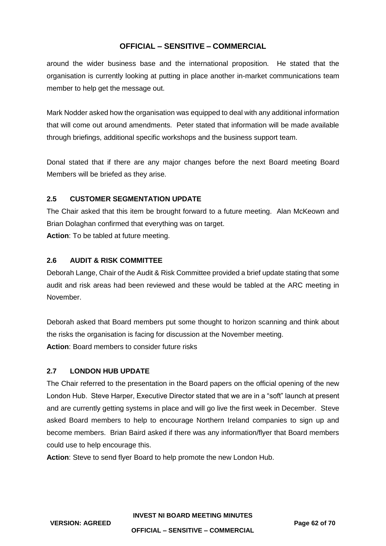around the wider business base and the international proposition. He stated that the organisation is currently looking at putting in place another in-market communications team member to help get the message out.

Mark Nodder asked how the organisation was equipped to deal with any additional information that will come out around amendments. Peter stated that information will be made available through briefings, additional specific workshops and the business support team.

Donal stated that if there are any major changes before the next Board meeting Board Members will be briefed as they arise.

#### **2.5 CUSTOMER SEGMENTATION UPDATE**

The Chair asked that this item be brought forward to a future meeting. Alan McKeown and Brian Dolaghan confirmed that everything was on target.

**Action**: To be tabled at future meeting.

#### **2.6 AUDIT & RISK COMMITTEE**

Deborah Lange, Chair of the Audit & Risk Committee provided a brief update stating that some audit and risk areas had been reviewed and these would be tabled at the ARC meeting in November.

Deborah asked that Board members put some thought to horizon scanning and think about the risks the organisation is facing for discussion at the November meeting. **Action**: Board members to consider future risks

#### **2.7 LONDON HUB UPDATE**

The Chair referred to the presentation in the Board papers on the official opening of the new London Hub. Steve Harper, Executive Director stated that we are in a "soft" launch at present and are currently getting systems in place and will go live the first week in December. Steve asked Board members to help to encourage Northern Ireland companies to sign up and become members. Brian Baird asked if there was any information/flyer that Board members could use to help encourage this.

**Action**: Steve to send flyer Board to help promote the new London Hub.

**INVEST NI BOARD MEETING MINUTES**

**VERSION: AGREED Page 62 of 70**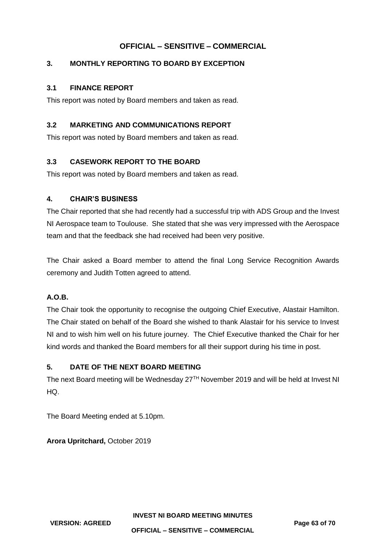#### **3. MONTHLY REPORTING TO BOARD BY EXCEPTION**

#### **3.1 FINANCE REPORT**

This report was noted by Board members and taken as read.

#### **3.2 MARKETING AND COMMUNICATIONS REPORT**

This report was noted by Board members and taken as read.

#### **3.3 CASEWORK REPORT TO THE BOARD**

This report was noted by Board members and taken as read.

#### **4. CHAIR'S BUSINESS**

The Chair reported that she had recently had a successful trip with ADS Group and the Invest NI Aerospace team to Toulouse. She stated that she was very impressed with the Aerospace team and that the feedback she had received had been very positive.

The Chair asked a Board member to attend the final Long Service Recognition Awards ceremony and Judith Totten agreed to attend.

#### **A.O.B.**

The Chair took the opportunity to recognise the outgoing Chief Executive, Alastair Hamilton. The Chair stated on behalf of the Board she wished to thank Alastair for his service to Invest NI and to wish him well on his future journey. The Chief Executive thanked the Chair for her kind words and thanked the Board members for all their support during his time in post.

#### **5. DATE OF THE NEXT BOARD MEETING**

The next Board meeting will be Wednesday 27<sup>TH</sup> November 2019 and will be held at Invest NI HQ.

The Board Meeting ended at 5.10pm.

**Arora Upritchard,** October 2019

**INVEST NI BOARD MEETING MINUTES**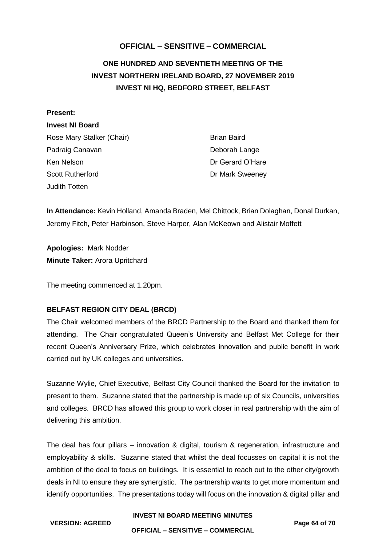## <span id="page-63-0"></span>**ONE HUNDRED AND SEVENTIETH MEETING OF THE INVEST NORTHERN IRELAND BOARD, 27 NOVEMBER 2019 INVEST NI HQ, BEDFORD STREET, BELFAST**

| <b>Present:</b>           |                    |
|---------------------------|--------------------|
| <b>Invest NI Board</b>    |                    |
| Rose Mary Stalker (Chair) | <b>Brian Baird</b> |
| Padraig Canavan           | Deborah Lange      |
| Ken Nelson                | Dr Gerard O'Hare   |
| <b>Scott Rutherford</b>   | Dr Mark Sweeney    |
| <b>Judith Totten</b>      |                    |

**In Attendance:** Kevin Holland, Amanda Braden, Mel Chittock, Brian Dolaghan, Donal Durkan, Jeremy Fitch, Peter Harbinson, Steve Harper, Alan McKeown and Alistair Moffett

**Apologies:** Mark Nodder **Minute Taker:** Arora Upritchard

The meeting commenced at 1.20pm.

#### **BELFAST REGION CITY DEAL (BRCD)**

The Chair welcomed members of the BRCD Partnership to the Board and thanked them for attending. The Chair congratulated Queen's University and Belfast Met College for their recent Queen's Anniversary Prize, which celebrates innovation and public benefit in work carried out by UK colleges and universities.

Suzanne Wylie, Chief Executive, Belfast City Council thanked the Board for the invitation to present to them. Suzanne stated that the partnership is made up of six Councils, universities and colleges. BRCD has allowed this group to work closer in real partnership with the aim of delivering this ambition.

The deal has four pillars – innovation & digital, tourism & regeneration, infrastructure and employability & skills. Suzanne stated that whilst the deal focusses on capital it is not the ambition of the deal to focus on buildings. It is essential to reach out to the other city/growth deals in NI to ensure they are synergistic. The partnership wants to get more momentum and identify opportunities. The presentations today will focus on the innovation & digital pillar and

#### **INVEST NI BOARD MEETING MINUTES**

**VERSION: AGREED Page 64 of 70**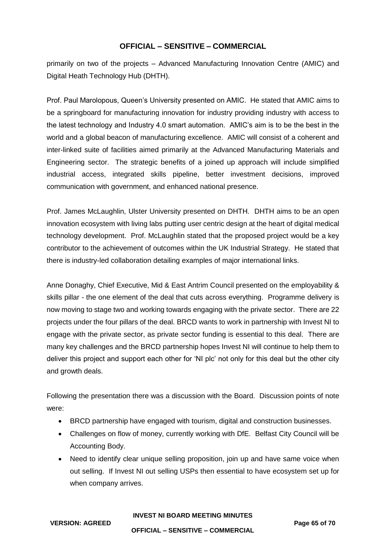primarily on two of the projects – Advanced Manufacturing Innovation Centre (AMIC) and Digital Heath Technology Hub (DHTH).

Prof. Paul Marolopous, Queen's University presented on AMIC. He stated that AMIC aims to be a springboard for manufacturing innovation for industry providing industry with access to the latest technology and Industry 4.0 smart automation. AMIC's aim is to be the best in the world and a global beacon of manufacturing excellence. AMIC will consist of a coherent and inter-linked suite of facilities aimed primarily at the Advanced Manufacturing Materials and Engineering sector. The strategic benefits of a joined up approach will include simplified industrial access, integrated skills pipeline, better investment decisions, improved communication with government, and enhanced national presence.

Prof. James McLaughlin, Ulster University presented on DHTH. DHTH aims to be an open innovation ecosystem with living labs putting user centric design at the heart of digital medical technology development. Prof. McLaughlin stated that the proposed project would be a key contributor to the achievement of outcomes within the UK Industrial Strategy. He stated that there is industry-led collaboration detailing examples of major international links.

Anne Donaghy, Chief Executive, Mid & East Antrim Council presented on the employability & skills pillar - the one element of the deal that cuts across everything. Programme delivery is now moving to stage two and working towards engaging with the private sector. There are 22 projects under the four pillars of the deal. BRCD wants to work in partnership with Invest NI to engage with the private sector, as private sector funding is essential to this deal. There are many key challenges and the BRCD partnership hopes Invest NI will continue to help them to deliver this project and support each other for 'NI plc' not only for this deal but the other city and growth deals.

Following the presentation there was a discussion with the Board. Discussion points of note were:

- BRCD partnership have engaged with tourism, digital and construction businesses.
- Challenges on flow of money, currently working with DfE. Belfast City Council will be Accounting Body.
- Need to identify clear unique selling proposition, join up and have same voice when out selling. If Invest NI out selling USPs then essential to have ecosystem set up for when company arrives.

**INVEST NI BOARD MEETING MINUTES**

**VERSION: AGREED Page 65 of 70**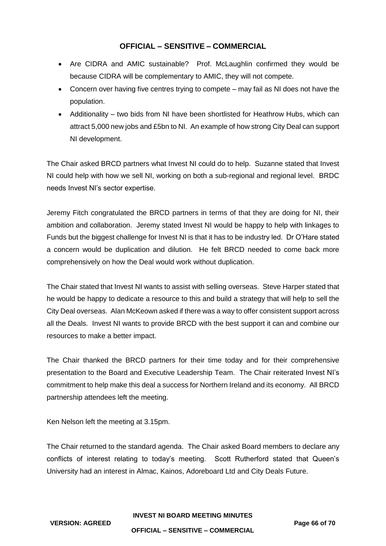- Are CIDRA and AMIC sustainable? Prof. McLaughlin confirmed they would be because CIDRA will be complementary to AMIC, they will not compete.
- Concern over having five centres trying to compete may fail as NI does not have the population.
- Additionality two bids from NI have been shortlisted for Heathrow Hubs, which can attract 5,000 new jobs and £5bn to NI. An example of how strong City Deal can support NI development.

The Chair asked BRCD partners what Invest NI could do to help. Suzanne stated that Invest NI could help with how we sell NI, working on both a sub-regional and regional level. BRDC needs Invest NI's sector expertise.

Jeremy Fitch congratulated the BRCD partners in terms of that they are doing for NI, their ambition and collaboration. Jeremy stated Invest NI would be happy to help with linkages to Funds but the biggest challenge for Invest NI is that it has to be industry led. Dr O'Hare stated a concern would be duplication and dilution. He felt BRCD needed to come back more comprehensively on how the Deal would work without duplication.

The Chair stated that Invest NI wants to assist with selling overseas. Steve Harper stated that he would be happy to dedicate a resource to this and build a strategy that will help to sell the City Deal overseas. Alan McKeown asked if there was a way to offer consistent support across all the Deals. Invest NI wants to provide BRCD with the best support it can and combine our resources to make a better impact.

The Chair thanked the BRCD partners for their time today and for their comprehensive presentation to the Board and Executive Leadership Team. The Chair reiterated Invest NI's commitment to help make this deal a success for Northern Ireland and its economy. All BRCD partnership attendees left the meeting.

Ken Nelson left the meeting at 3.15pm.

The Chair returned to the standard agenda. The Chair asked Board members to declare any conflicts of interest relating to today's meeting. Scott Rutherford stated that Queen's University had an interest in Almac, Kainos, Adoreboard Ltd and City Deals Future.

#### **INVEST NI BOARD MEETING MINUTES**

**VERSION: AGREED Page 66 of 70**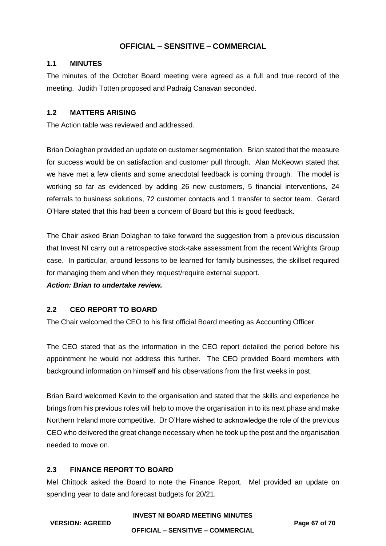#### **1.1 MINUTES**

The minutes of the October Board meeting were agreed as a full and true record of the meeting. Judith Totten proposed and Padraig Canavan seconded.

#### **1.2 MATTERS ARISING**

The Action table was reviewed and addressed.

Brian Dolaghan provided an update on customer segmentation. Brian stated that the measure for success would be on satisfaction and customer pull through. Alan McKeown stated that we have met a few clients and some anecdotal feedback is coming through. The model is working so far as evidenced by adding 26 new customers, 5 financial interventions, 24 referrals to business solutions, 72 customer contacts and 1 transfer to sector team. Gerard O'Hare stated that this had been a concern of Board but this is good feedback.

The Chair asked Brian Dolaghan to take forward the suggestion from a previous discussion that Invest NI carry out a retrospective stock-take assessment from the recent Wrights Group case. In particular, around lessons to be learned for family businesses, the skillset required for managing them and when they request/require external support.

*Action: Brian to undertake review.*

#### **2.2 CEO REPORT TO BOARD**

The Chair welcomed the CEO to his first official Board meeting as Accounting Officer.

The CEO stated that as the information in the CEO report detailed the period before his appointment he would not address this further. The CEO provided Board members with background information on himself and his observations from the first weeks in post.

Brian Baird welcomed Kevin to the organisation and stated that the skills and experience he brings from his previous roles will help to move the organisation in to its next phase and make Northern Ireland more competitive. Dr O'Hare wished to acknowledge the role of the previous CEO who delivered the great change necessary when he took up the post and the organisation needed to move on.

#### **2.3 FINANCE REPORT TO BOARD**

Mel Chittock asked the Board to note the Finance Report. Mel provided an update on spending year to date and forecast budgets for 20/21.

#### **INVEST NI BOARD MEETING MINUTES**

**VERSION: AGREED Page 67 of 70**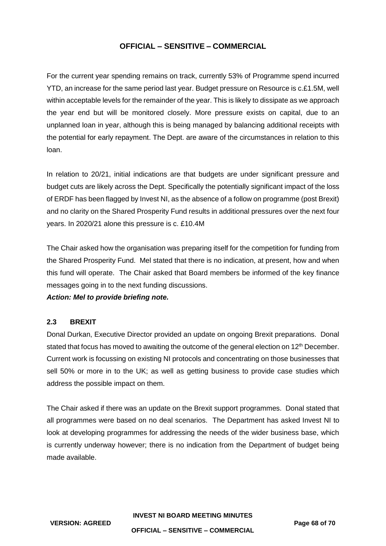For the current year spending remains on track, currently 53% of Programme spend incurred YTD, an increase for the same period last year. Budget pressure on Resource is c.£1.5M, well within acceptable levels for the remainder of the year. This is likely to dissipate as we approach the year end but will be monitored closely. More pressure exists on capital, due to an unplanned loan in year, although this is being managed by balancing additional receipts with the potential for early repayment. The Dept. are aware of the circumstances in relation to this loan.

In relation to 20/21, initial indications are that budgets are under significant pressure and budget cuts are likely across the Dept. Specifically the potentially significant impact of the loss of ERDF has been flagged by Invest NI, as the absence of a follow on programme (post Brexit) and no clarity on the Shared Prosperity Fund results in additional pressures over the next four years. In 2020/21 alone this pressure is c. £10.4M

The Chair asked how the organisation was preparing itself for the competition for funding from the Shared Prosperity Fund. Mel stated that there is no indication, at present, how and when this fund will operate. The Chair asked that Board members be informed of the key finance messages going in to the next funding discussions.

*Action: Mel to provide briefing note.*

#### **2.3 BREXIT**

Donal Durkan, Executive Director provided an update on ongoing Brexit preparations. Donal stated that focus has moved to awaiting the outcome of the general election on  $12<sup>th</sup>$  December. Current work is focussing on existing NI protocols and concentrating on those businesses that sell 50% or more in to the UK; as well as getting business to provide case studies which address the possible impact on them.

The Chair asked if there was an update on the Brexit support programmes. Donal stated that all programmes were based on no deal scenarios. The Department has asked Invest NI to look at developing programmes for addressing the needs of the wider business base, which is currently underway however; there is no indication from the Department of budget being made available.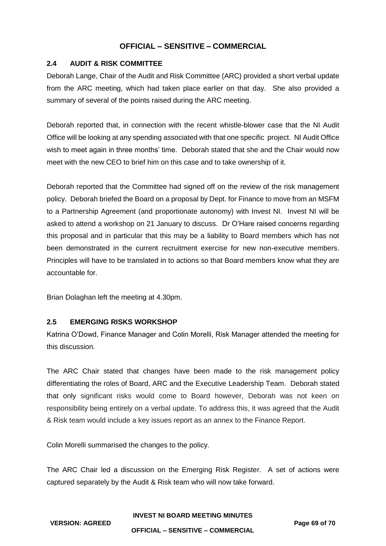#### **2.4 AUDIT & RISK COMMITTEE**

Deborah Lange, Chair of the Audit and Risk Committee (ARC) provided a short verbal update from the ARC meeting, which had taken place earlier on that day. She also provided a summary of several of the points raised during the ARC meeting.

Deborah reported that, in connection with the recent whistle-blower case that the NI Audit Office will be looking at any spending associated with that one specific project. NI Audit Office wish to meet again in three months' time. Deborah stated that she and the Chair would now meet with the new CEO to brief him on this case and to take ownership of it.

Deborah reported that the Committee had signed off on the review of the risk management policy. Deborah briefed the Board on a proposal by Dept. for Finance to move from an MSFM to a Partnership Agreement (and proportionate autonomy) with Invest NI. Invest NI will be asked to attend a workshop on 21 January to discuss. Dr O'Hare raised concerns regarding this proposal and in particular that this may be a liability to Board members which has not been demonstrated in the current recruitment exercise for new non-executive members. Principles will have to be translated in to actions so that Board members know what they are accountable for.

Brian Dolaghan left the meeting at 4.30pm.

#### **2.5 EMERGING RISKS WORKSHOP**

Katrina O'Dowd, Finance Manager and Colin Morelli, Risk Manager attended the meeting for this discussion.

The ARC Chair stated that changes have been made to the risk management policy differentiating the roles of Board, ARC and the Executive Leadership Team. Deborah stated that only significant risks would come to Board however, Deborah was not keen on responsibility being entirely on a verbal update. To address this, it was agreed that the Audit & Risk team would include a key issues report as an annex to the Finance Report.

Colin Morelli summarised the changes to the policy.

The ARC Chair led a discussion on the Emerging Risk Register. A set of actions were captured separately by the Audit & Risk team who will now take forward.

**INVEST NI BOARD MEETING MINUTES**

**VERSION: AGREED Page 69 of 70**